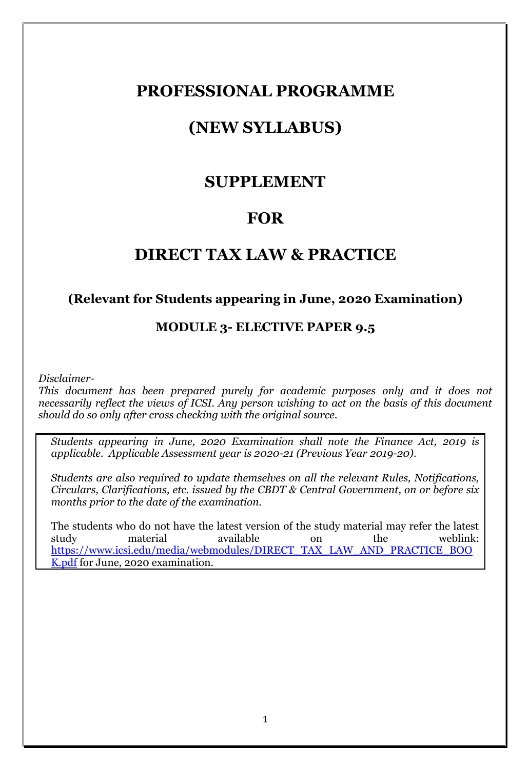## **PROFESSIONAL PROGRAMME**

## **(NEW SYLLABUS)**

## **SUPPLEMENT**

## **FOR**

## **DIRECT TAX LAW & PRACTICE**

#### **(Relevant for Students appearing in June, 2020 Examination)**

### **MODULE 3- ELECTIVE PAPER 9.5**

*Disclaimer-*

*This document has been prepared purely for academic purposes only and it does not necessarily reflect the views of ICSI. Any person wishing to act on the basis of this document should do so only after cross checking with the original source.*

*Students appearing in June, 2020 Examination shall note the Finance Act, 2019 is applicable. Applicable Assessment year is 2020-21 (Previous Year 2019-20).*

*Students are also required to update themselves on all the relevant Rules, Notifications, Circulars, Clarifications, etc. issued by the CBDT & Central Government, on or before six months prior to the date of the examination.*

The students who do not have the latest version of the study material may refer the latest study material available on the weblink: [https://www.icsi.edu/media/webmodules/DIRECT\\_TAX\\_LAW\\_AND\\_PRACTICE\\_BOO](https://www.icsi.edu/media/webmodules/DIRECT_TAX_LAW_AND_PRACTICE_BOOK.pdf) [K.pdf](https://www.icsi.edu/media/webmodules/DIRECT_TAX_LAW_AND_PRACTICE_BOOK.pdf) for June, 2020 examination.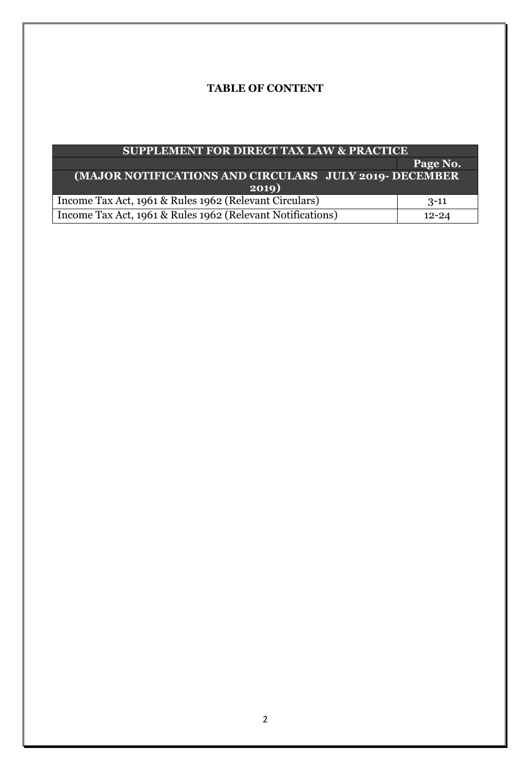#### **TABLE OF CONTENT**

| <b>SUPPLEMENT FOR DIRECT TAX LAW &amp; PRACTICE</b>        |           |
|------------------------------------------------------------|-----------|
|                                                            | Page No.  |
| (MAJOR NOTIFICATIONS AND CIRCULARS JULY 2019- DECEMBER     |           |
| 2019)                                                      |           |
| Income Tax Act, 1961 & Rules 1962 (Relevant Circulars)     | $3-11$    |
| Income Tax Act, 1961 & Rules 1962 (Relevant Notifications) | $12 - 24$ |
|                                                            |           |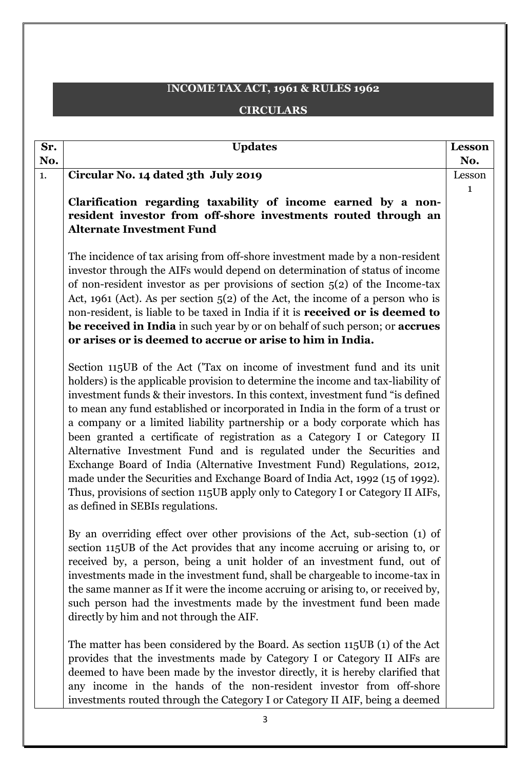## I**NCOME TAX ACT, 1961 & RULES 1962 CIRCULARS**

| Sr. | <b>Updates</b>                                                                                                                                            | <b>Lesson</b> |
|-----|-----------------------------------------------------------------------------------------------------------------------------------------------------------|---------------|
| No. |                                                                                                                                                           | No.           |
| 1.  | Circular No. 14 dated 3th July 2019                                                                                                                       | Lesson        |
|     |                                                                                                                                                           | 1             |
|     | Clarification regarding taxability of income earned by a non-                                                                                             |               |
|     | resident investor from off-shore investments routed through an<br><b>Alternate Investment Fund</b>                                                        |               |
|     |                                                                                                                                                           |               |
|     | The incidence of tax arising from off-shore investment made by a non-resident                                                                             |               |
|     | investor through the AIFs would depend on determination of status of income                                                                               |               |
|     | of non-resident investor as per provisions of section $5(2)$ of the Income-tax                                                                            |               |
|     | Act, 1961 (Act). As per section $5(2)$ of the Act, the income of a person who is                                                                          |               |
|     | non-resident, is liable to be taxed in India if it is received or is deemed to                                                                            |               |
|     | be received in India in such year by or on behalf of such person; or accrues                                                                              |               |
|     | or arises or is deemed to accrue or arise to him in India.                                                                                                |               |
|     | Section 115UB of the Act ('Tax on income of investment fund and its unit                                                                                  |               |
|     | holders) is the applicable provision to determine the income and tax-liability of                                                                         |               |
|     | investment funds & their investors. In this context, investment fund "is defined                                                                          |               |
|     | to mean any fund established or incorporated in India in the form of a trust or                                                                           |               |
|     | a company or a limited liability partnership or a body corporate which has                                                                                |               |
|     | been granted a certificate of registration as a Category I or Category II                                                                                 |               |
|     | Alternative Investment Fund and is regulated under the Securities and                                                                                     |               |
|     | Exchange Board of India (Alternative Investment Fund) Regulations, 2012,<br>made under the Securities and Exchange Board of India Act, 1992 (15 of 1992). |               |
|     | Thus, provisions of section 115UB apply only to Category I or Category II AIFs,                                                                           |               |
|     | as defined in SEBIs regulations.                                                                                                                          |               |
|     |                                                                                                                                                           |               |
|     | By an overriding effect over other provisions of the Act, sub-section (1) of                                                                              |               |
|     | section 115UB of the Act provides that any income accruing or arising to, or                                                                              |               |
|     | received by, a person, being a unit holder of an investment fund, out of                                                                                  |               |
|     | investments made in the investment fund, shall be chargeable to income-tax in                                                                             |               |
|     | the same manner as If it were the income accruing or arising to, or received by,<br>such person had the investments made by the investment fund been made |               |
|     | directly by him and not through the AIF.                                                                                                                  |               |
|     |                                                                                                                                                           |               |
|     | The matter has been considered by the Board. As section 115UB (1) of the Act                                                                              |               |
|     | provides that the investments made by Category I or Category II AIFs are                                                                                  |               |
|     | deemed to have been made by the investor directly, it is hereby clarified that                                                                            |               |
|     | any income in the hands of the non-resident investor from off-shore                                                                                       |               |
|     | investments routed through the Category I or Category II AIF, being a deemed                                                                              |               |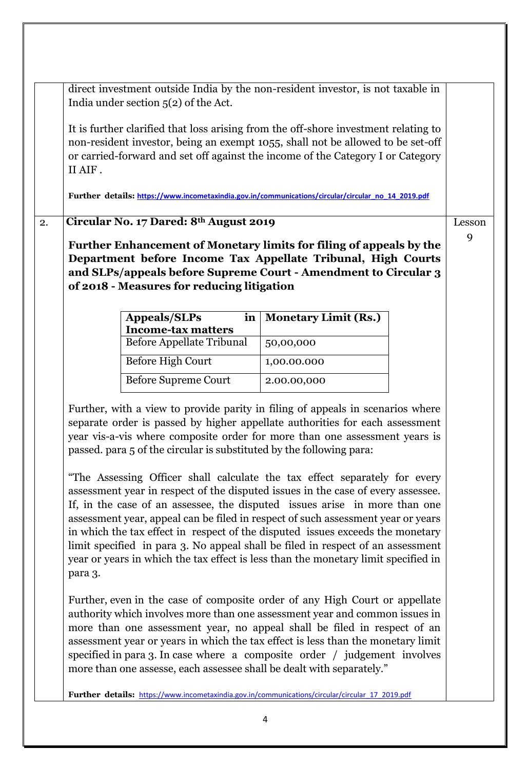|    | direct investment outside India by the non-resident investor, is not taxable in<br>India under section $5(2)$ of the Act.                                                                                                                                                                                                                                                                                                                                                                                   |                                                                                                                                                                                                                                                                                                                                                                                                                 |        |
|----|-------------------------------------------------------------------------------------------------------------------------------------------------------------------------------------------------------------------------------------------------------------------------------------------------------------------------------------------------------------------------------------------------------------------------------------------------------------------------------------------------------------|-----------------------------------------------------------------------------------------------------------------------------------------------------------------------------------------------------------------------------------------------------------------------------------------------------------------------------------------------------------------------------------------------------------------|--------|
|    | It is further clarified that loss arising from the off-shore investment relating to<br>II AIF.                                                                                                                                                                                                                                                                                                                                                                                                              | non-resident investor, being an exempt 1055, shall not be allowed to be set-off<br>or carried-forward and set off against the income of the Category I or Category                                                                                                                                                                                                                                              |        |
|    | Further details: https://www.incometaxindia.gov.in/communications/circular/circular no 14 2019.pdf                                                                                                                                                                                                                                                                                                                                                                                                          |                                                                                                                                                                                                                                                                                                                                                                                                                 |        |
| 2. | Circular No. 17 Dared: 8th August 2019                                                                                                                                                                                                                                                                                                                                                                                                                                                                      |                                                                                                                                                                                                                                                                                                                                                                                                                 | Lesson |
|    | Further Enhancement of Monetary limits for filing of appeals by the<br>and SLPs/appeals before Supreme Court - Amendment to Circular 3<br>of 2018 - Measures for reducing litigation                                                                                                                                                                                                                                                                                                                        | Department before Income Tax Appellate Tribunal, High Courts                                                                                                                                                                                                                                                                                                                                                    | 9      |
|    | <b>Appeals/SLPs</b><br>in<br><b>Income-tax matters</b>                                                                                                                                                                                                                                                                                                                                                                                                                                                      | <b>Monetary Limit (Rs.)</b>                                                                                                                                                                                                                                                                                                                                                                                     |        |
|    | <b>Before Appellate Tribunal</b>                                                                                                                                                                                                                                                                                                                                                                                                                                                                            | 50,00,000                                                                                                                                                                                                                                                                                                                                                                                                       |        |
|    | <b>Before High Court</b>                                                                                                                                                                                                                                                                                                                                                                                                                                                                                    | 1,00.00.000                                                                                                                                                                                                                                                                                                                                                                                                     |        |
|    | <b>Before Supreme Court</b>                                                                                                                                                                                                                                                                                                                                                                                                                                                                                 | 2.00.00,000                                                                                                                                                                                                                                                                                                                                                                                                     |        |
|    | Further, with a view to provide parity in filing of appeals in scenarios where<br>year vis-a-vis where composite order for more than one assessment years is<br>passed, para 5 of the circular is substituted by the following para:<br>assessment year in respect of the disputed issues in the case of every assessee.<br>in which the tax effect in respect of the disputed issues exceeds the monetary<br>year or years in which the tax effect is less than the monetary limit specified in<br>para 3. | separate order is passed by higher appellate authorities for each assessment<br>"The Assessing Officer shall calculate the tax effect separately for every<br>If, in the case of an assessee, the disputed issues arise in more than one<br>assessment year, appeal can be filed in respect of such assessment year or years<br>limit specified in para 3. No appeal shall be filed in respect of an assessment |        |
|    | more than one assesse, each assessee shall be dealt with separately."                                                                                                                                                                                                                                                                                                                                                                                                                                       | Further, even in the case of composite order of any High Court or appellate<br>authority which involves more than one assessment year and common issues in<br>more than one assessment year, no appeal shall be filed in respect of an<br>assessment year or years in which the tax effect is less than the monetary limit<br>specified in para 3. In case where a composite order / judgement involves         |        |
|    | Further details: https://www.incometaxindia.gov.in/communications/circular/circular 17 2019.pdf                                                                                                                                                                                                                                                                                                                                                                                                             |                                                                                                                                                                                                                                                                                                                                                                                                                 |        |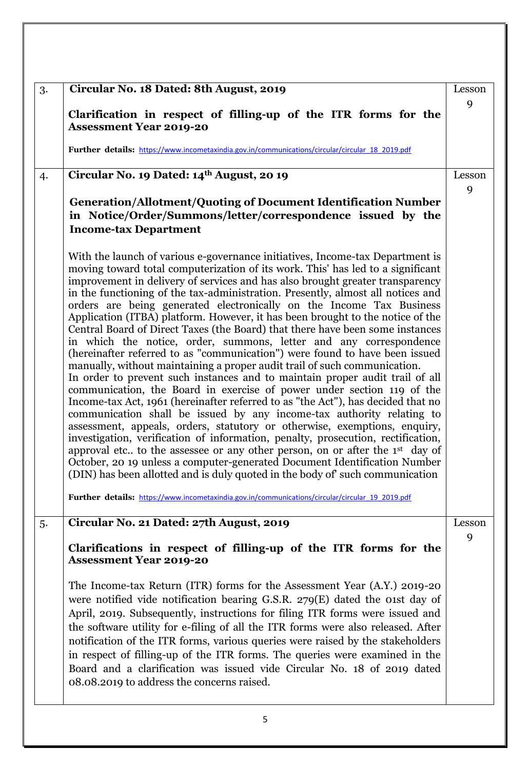| 3. | Circular No. 18 Dated: 8th August, 2019                                                                                                                                                                                                                                                                                                                                                                                                                                                                                                                                                                                                                                                                                                                                                                                                                                                                                                                                                                                                                                                                                                                                                                                                                                                                                                                                                                                                                                                                                                                                                                                                                               | Lesson |
|----|-----------------------------------------------------------------------------------------------------------------------------------------------------------------------------------------------------------------------------------------------------------------------------------------------------------------------------------------------------------------------------------------------------------------------------------------------------------------------------------------------------------------------------------------------------------------------------------------------------------------------------------------------------------------------------------------------------------------------------------------------------------------------------------------------------------------------------------------------------------------------------------------------------------------------------------------------------------------------------------------------------------------------------------------------------------------------------------------------------------------------------------------------------------------------------------------------------------------------------------------------------------------------------------------------------------------------------------------------------------------------------------------------------------------------------------------------------------------------------------------------------------------------------------------------------------------------------------------------------------------------------------------------------------------------|--------|
|    | Clarification in respect of filling-up of the ITR forms for the<br><b>Assessment Year 2019-20</b>                                                                                                                                                                                                                                                                                                                                                                                                                                                                                                                                                                                                                                                                                                                                                                                                                                                                                                                                                                                                                                                                                                                                                                                                                                                                                                                                                                                                                                                                                                                                                                     | 9      |
|    | Further details: https://www.incometaxindia.gov.in/communications/circular/circular 18 2019.pdf                                                                                                                                                                                                                                                                                                                                                                                                                                                                                                                                                                                                                                                                                                                                                                                                                                                                                                                                                                                                                                                                                                                                                                                                                                                                                                                                                                                                                                                                                                                                                                       |        |
| 4. | Circular No. 19 Dated: 14th August, 20 19                                                                                                                                                                                                                                                                                                                                                                                                                                                                                                                                                                                                                                                                                                                                                                                                                                                                                                                                                                                                                                                                                                                                                                                                                                                                                                                                                                                                                                                                                                                                                                                                                             | Lesson |
|    | <b>Generation/Allotment/Quoting of Document Identification Number</b><br>in Notice/Order/Summons/letter/correspondence issued by the<br><b>Income-tax Department</b>                                                                                                                                                                                                                                                                                                                                                                                                                                                                                                                                                                                                                                                                                                                                                                                                                                                                                                                                                                                                                                                                                                                                                                                                                                                                                                                                                                                                                                                                                                  | 9      |
|    | With the launch of various e-governance initiatives, Income-tax Department is<br>moving toward total computerization of its work. This' has led to a significant<br>improvement in delivery of services and has also brought greater transparency<br>in the functioning of the tax-administration. Presently, almost all notices and<br>orders are being generated electronically on the Income Tax Business<br>Application (ITBA) platform. However, it has been brought to the notice of the<br>Central Board of Direct Taxes (the Board) that there have been some instances<br>in which the notice, order, summons, letter and any correspondence<br>(hereinafter referred to as "communication") were found to have been issued<br>manually, without maintaining a proper audit trail of such communication.<br>In order to prevent such instances and to maintain proper audit trail of all<br>communication, the Board in exercise of power under section 119 of the<br>Income-tax Act, 1961 (hereinafter referred to as "the Act"), has decided that no<br>communication shall be issued by any income-tax authority relating to<br>assessment, appeals, orders, statutory or otherwise, exemptions, enquiry,<br>investigation, verification of information, penalty, prosecution, rectification,<br>approval etc to the assessee or any other person, on or after the 1 <sup>st</sup> day of<br>October, 20 19 unless a computer-generated Document Identification Number<br>(DIN) has been allotted and is duly quoted in the body of such communication<br>Further details: https://www.incometaxindia.gov.in/communications/circular/circular 19 2019.pdf |        |
| 5. | Circular No. 21 Dated: 27th August, 2019                                                                                                                                                                                                                                                                                                                                                                                                                                                                                                                                                                                                                                                                                                                                                                                                                                                                                                                                                                                                                                                                                                                                                                                                                                                                                                                                                                                                                                                                                                                                                                                                                              | Lesson |
|    |                                                                                                                                                                                                                                                                                                                                                                                                                                                                                                                                                                                                                                                                                                                                                                                                                                                                                                                                                                                                                                                                                                                                                                                                                                                                                                                                                                                                                                                                                                                                                                                                                                                                       | 9      |
|    | Clarifications in respect of filling-up of the ITR forms for the<br><b>Assessment Year 2019-20</b>                                                                                                                                                                                                                                                                                                                                                                                                                                                                                                                                                                                                                                                                                                                                                                                                                                                                                                                                                                                                                                                                                                                                                                                                                                                                                                                                                                                                                                                                                                                                                                    |        |
|    | The Income-tax Return (ITR) forms for the Assessment Year (A.Y.) 2019-20<br>were notified vide notification bearing G.S.R. $279(E)$ dated the oist day of<br>April, 2019. Subsequently, instructions for filing ITR forms were issued and<br>the software utility for e-filing of all the ITR forms were also released. After<br>notification of the ITR forms, various queries were raised by the stakeholders<br>in respect of filling-up of the ITR forms. The queries were examined in the<br>Board and a clarification was issued vide Circular No. 18 of 2019 dated<br>08.08.2019 to address the concerns raised.                                                                                                                                                                                                                                                                                                                                                                                                                                                                                                                                                                                                                                                                                                                                                                                                                                                                                                                                                                                                                                               |        |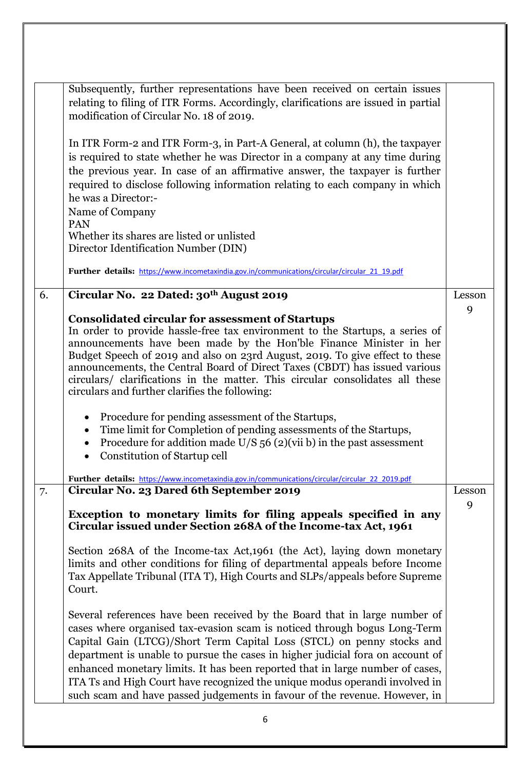|    | Subsequently, further representations have been received on certain issues<br>relating to filing of ITR Forms. Accordingly, clarifications are issued in partial<br>modification of Circular No. 18 of 2019.                                                                                                                                                                                                                                                                                                                                                      |        |
|----|-------------------------------------------------------------------------------------------------------------------------------------------------------------------------------------------------------------------------------------------------------------------------------------------------------------------------------------------------------------------------------------------------------------------------------------------------------------------------------------------------------------------------------------------------------------------|--------|
|    | In ITR Form-2 and ITR Form-3, in Part-A General, at column (h), the taxpayer<br>is required to state whether he was Director in a company at any time during<br>the previous year. In case of an affirmative answer, the taxpayer is further<br>required to disclose following information relating to each company in which<br>he was a Director:-<br>Name of Company<br>PAN                                                                                                                                                                                     |        |
|    | Whether its shares are listed or unlisted<br>Director Identification Number (DIN)                                                                                                                                                                                                                                                                                                                                                                                                                                                                                 |        |
|    |                                                                                                                                                                                                                                                                                                                                                                                                                                                                                                                                                                   |        |
|    | Further details: https://www.incometaxindia.gov.in/communications/circular/circular 21 19.pdf                                                                                                                                                                                                                                                                                                                                                                                                                                                                     |        |
| 6. | Circular No. 22 Dated: 30th August 2019                                                                                                                                                                                                                                                                                                                                                                                                                                                                                                                           | Lesson |
|    | <b>Consolidated circular for assessment of Startups</b>                                                                                                                                                                                                                                                                                                                                                                                                                                                                                                           | 9      |
|    | In order to provide hassle-free tax environment to the Startups, a series of                                                                                                                                                                                                                                                                                                                                                                                                                                                                                      |        |
|    | announcements have been made by the Hon'ble Finance Minister in her                                                                                                                                                                                                                                                                                                                                                                                                                                                                                               |        |
|    | Budget Speech of 2019 and also on 23rd August, 2019. To give effect to these<br>announcements, the Central Board of Direct Taxes (CBDT) has issued various                                                                                                                                                                                                                                                                                                                                                                                                        |        |
|    | circulars/ clarifications in the matter. This circular consolidates all these                                                                                                                                                                                                                                                                                                                                                                                                                                                                                     |        |
|    | circulars and further clarifies the following:                                                                                                                                                                                                                                                                                                                                                                                                                                                                                                                    |        |
|    | Procedure for pending assessment of the Startups,<br>$\bullet$                                                                                                                                                                                                                                                                                                                                                                                                                                                                                                    |        |
|    | Time limit for Completion of pending assessments of the Startups,<br>$\bullet$                                                                                                                                                                                                                                                                                                                                                                                                                                                                                    |        |
|    | Procedure for addition made $U/S$ 56 (2)(vii b) in the past assessment                                                                                                                                                                                                                                                                                                                                                                                                                                                                                            |        |
|    | Constitution of Startup cell                                                                                                                                                                                                                                                                                                                                                                                                                                                                                                                                      |        |
|    | Further details: https://www.incometaxindia.gov.in/communications/circular/circular 22 2019.pdf                                                                                                                                                                                                                                                                                                                                                                                                                                                                   |        |
| 7. | Circular No. 23 Dared 6th September 2019                                                                                                                                                                                                                                                                                                                                                                                                                                                                                                                          | Lesson |
|    | Exception to monetary limits for filing appeals specified in any                                                                                                                                                                                                                                                                                                                                                                                                                                                                                                  | 9      |
|    | Circular issued under Section 268A of the Income-tax Act, 1961                                                                                                                                                                                                                                                                                                                                                                                                                                                                                                    |        |
|    | Section 268A of the Income-tax Act, 1961 (the Act), laying down monetary<br>limits and other conditions for filing of departmental appeals before Income<br>Tax Appellate Tribunal (ITA T), High Courts and SLPs/appeals before Supreme<br>Court.                                                                                                                                                                                                                                                                                                                 |        |
|    | Several references have been received by the Board that in large number of<br>cases where organised tax-evasion scam is noticed through bogus Long-Term<br>Capital Gain (LTCG)/Short Term Capital Loss (STCL) on penny stocks and<br>department is unable to pursue the cases in higher judicial fora on account of<br>enhanced monetary limits. It has been reported that in large number of cases,<br>ITA Ts and High Court have recognized the unique modus operandi involved in<br>such scam and have passed judgements in favour of the revenue. However, in |        |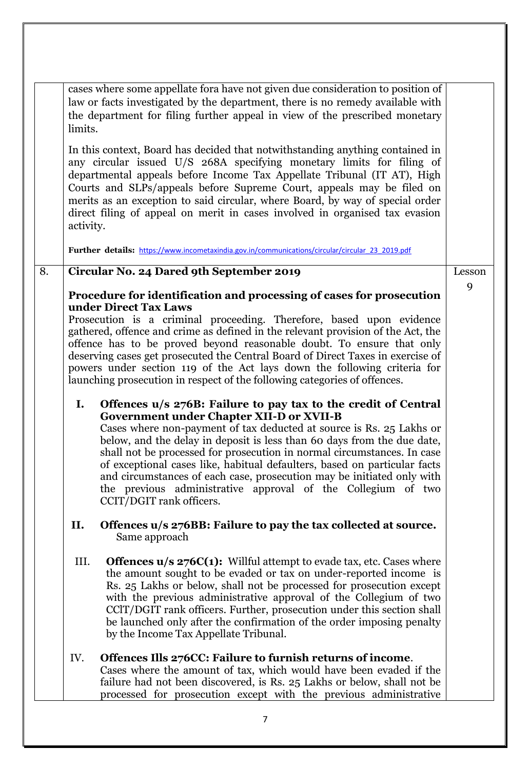|    | cases where some appellate fora have not given due consideration to position of<br>law or facts investigated by the department, there is no remedy available with<br>the department for filing further appeal in view of the prescribed monetary<br>limits.                                                                                                                                                                                                                                                                                                                                              |        |
|----|----------------------------------------------------------------------------------------------------------------------------------------------------------------------------------------------------------------------------------------------------------------------------------------------------------------------------------------------------------------------------------------------------------------------------------------------------------------------------------------------------------------------------------------------------------------------------------------------------------|--------|
|    | In this context, Board has decided that not with standing anything contained in<br>any circular issued U/S 268A specifying monetary limits for filing of<br>departmental appeals before Income Tax Appellate Tribunal (IT AT), High<br>Courts and SLPs/appeals before Supreme Court, appeals may be filed on<br>merits as an exception to said circular, where Board, by way of special order<br>direct filing of appeal on merit in cases involved in organised tax evasion<br>activity.                                                                                                                |        |
|    | Further details: https://www.incometaxindia.gov.in/communications/circular/circular 23 2019.pdf                                                                                                                                                                                                                                                                                                                                                                                                                                                                                                          |        |
| 8. | Circular No. 24 Dared 9th September 2019                                                                                                                                                                                                                                                                                                                                                                                                                                                                                                                                                                 | Lesson |
|    | Procedure for identification and processing of cases for prosecution                                                                                                                                                                                                                                                                                                                                                                                                                                                                                                                                     | 9      |
|    | under Direct Tax Laws<br>Prosecution is a criminal proceeding. Therefore, based upon evidence<br>gathered, offence and crime as defined in the relevant provision of the Act, the<br>offence has to be proved beyond reasonable doubt. To ensure that only<br>deserving cases get prosecuted the Central Board of Direct Taxes in exercise of<br>powers under section 119 of the Act lays down the following criteria for<br>launching prosecution in respect of the following categories of offences.                                                                                                   |        |
|    | Offences u/s 276B: Failure to pay tax to the credit of Central<br>I.<br><b>Government under Chapter XII-D or XVII-B</b><br>Cases where non-payment of tax deducted at source is Rs. 25 Lakhs or<br>below, and the delay in deposit is less than 60 days from the due date,<br>shall not be processed for prosecution in normal circumstances. In case<br>of exceptional cases like, habitual defaulters, based on particular facts<br>and circumstances of each case, prosecution may be initiated only with<br>the previous administrative approval of the Collegium of two<br>CCIT/DGIT rank officers. |        |
|    | II.<br>Offences u/s 276BB: Failure to pay the tax collected at source.<br>Same approach                                                                                                                                                                                                                                                                                                                                                                                                                                                                                                                  |        |
|    | III.<br><b>Offences <math>u/s</math> 276C(1):</b> Willful attempt to evade tax, etc. Cases where<br>the amount sought to be evaded or tax on under-reported income is<br>Rs. 25 Lakhs or below, shall not be processed for prosecution except<br>with the previous administrative approval of the Collegium of two<br>CCIT/DGIT rank officers. Further, prosecution under this section shall<br>be launched only after the confirmation of the order imposing penalty<br>by the Income Tax Appellate Tribunal.                                                                                           |        |
|    | Offences Ills 276CC: Failure to furnish returns of income.<br>IV.<br>Cases where the amount of tax, which would have been evaded if the<br>failure had not been discovered, is Rs. 25 Lakhs or below, shall not be<br>processed for prosecution except with the previous administrative                                                                                                                                                                                                                                                                                                                  |        |
|    | 7                                                                                                                                                                                                                                                                                                                                                                                                                                                                                                                                                                                                        |        |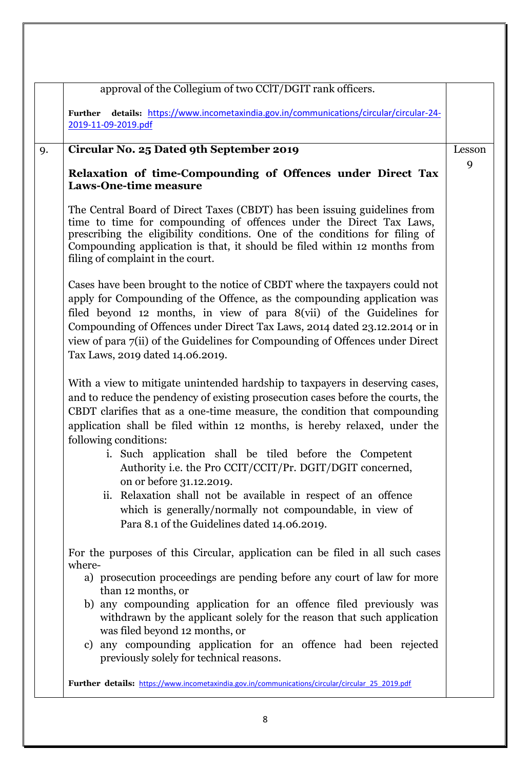| Further details: https://www.incometaxindia.gov.in/communications/circular/circular-24-<br>2019-11-09-2019.pdf<br>Circular No. 25 Dated 9th September 2019<br>9.<br>Relaxation of time-Compounding of Offences under Direct Tax<br><b>Laws-One-time measure</b><br>The Central Board of Direct Taxes (CBDT) has been issuing guidelines from<br>time to time for compounding of offences under the Direct Tax Laws,<br>prescribing the eligibility conditions. One of the conditions for filing of<br>Compounding application is that, it should be filed within 12 months from<br>filing of complaint in the court.<br>Cases have been brought to the notice of CBDT where the taxpayers could not<br>apply for Compounding of the Offence, as the compounding application was<br>filed beyond 12 months, in view of para 8(vii) of the Guidelines for<br>Compounding of Offences under Direct Tax Laws, 2014 dated 23.12.2014 or in<br>view of para 7(ii) of the Guidelines for Compounding of Offences under Direct<br>Tax Laws, 2019 dated 14.06.2019.<br>With a view to mitigate unintended hardship to taxpayers in deserving cases,<br>and to reduce the pendency of existing prosecution cases before the courts, the<br>CBDT clarifies that as a one-time measure, the condition that compounding<br>application shall be filed within 12 months, is hereby relaxed, under the<br>following conditions:<br>i. Such application shall be tiled before the Competent<br>Authority i.e. the Pro CCIT/CCIT/Pr. DGIT/DGIT concerned,<br>on or before 31.12.2019.<br>ii. Relaxation shall not be available in respect of an offence<br>which is generally/normally not compoundable, in view of<br>Para 8.1 of the Guidelines dated 14.06.2019.<br>For the purposes of this Circular, application can be filed in all such cases<br>where-<br>a) prosecution proceedings are pending before any court of law for more<br>than 12 months, or<br>b) any compounding application for an offence filed previously was<br>withdrawn by the applicant solely for the reason that such application<br>was filed beyond 12 months, or<br>c) any compounding application for an offence had been rejected | approval of the Collegium of two CClT/DGIT rank officers. |        |
|-----------------------------------------------------------------------------------------------------------------------------------------------------------------------------------------------------------------------------------------------------------------------------------------------------------------------------------------------------------------------------------------------------------------------------------------------------------------------------------------------------------------------------------------------------------------------------------------------------------------------------------------------------------------------------------------------------------------------------------------------------------------------------------------------------------------------------------------------------------------------------------------------------------------------------------------------------------------------------------------------------------------------------------------------------------------------------------------------------------------------------------------------------------------------------------------------------------------------------------------------------------------------------------------------------------------------------------------------------------------------------------------------------------------------------------------------------------------------------------------------------------------------------------------------------------------------------------------------------------------------------------------------------------------------------------------------------------------------------------------------------------------------------------------------------------------------------------------------------------------------------------------------------------------------------------------------------------------------------------------------------------------------------------------------------------------------------------------------------------------------------------------------------------------------------------------------------|-----------------------------------------------------------|--------|
|                                                                                                                                                                                                                                                                                                                                                                                                                                                                                                                                                                                                                                                                                                                                                                                                                                                                                                                                                                                                                                                                                                                                                                                                                                                                                                                                                                                                                                                                                                                                                                                                                                                                                                                                                                                                                                                                                                                                                                                                                                                                                                                                                                                                     |                                                           |        |
|                                                                                                                                                                                                                                                                                                                                                                                                                                                                                                                                                                                                                                                                                                                                                                                                                                                                                                                                                                                                                                                                                                                                                                                                                                                                                                                                                                                                                                                                                                                                                                                                                                                                                                                                                                                                                                                                                                                                                                                                                                                                                                                                                                                                     |                                                           | Lesson |
|                                                                                                                                                                                                                                                                                                                                                                                                                                                                                                                                                                                                                                                                                                                                                                                                                                                                                                                                                                                                                                                                                                                                                                                                                                                                                                                                                                                                                                                                                                                                                                                                                                                                                                                                                                                                                                                                                                                                                                                                                                                                                                                                                                                                     |                                                           | 9      |
|                                                                                                                                                                                                                                                                                                                                                                                                                                                                                                                                                                                                                                                                                                                                                                                                                                                                                                                                                                                                                                                                                                                                                                                                                                                                                                                                                                                                                                                                                                                                                                                                                                                                                                                                                                                                                                                                                                                                                                                                                                                                                                                                                                                                     |                                                           |        |
|                                                                                                                                                                                                                                                                                                                                                                                                                                                                                                                                                                                                                                                                                                                                                                                                                                                                                                                                                                                                                                                                                                                                                                                                                                                                                                                                                                                                                                                                                                                                                                                                                                                                                                                                                                                                                                                                                                                                                                                                                                                                                                                                                                                                     |                                                           |        |
|                                                                                                                                                                                                                                                                                                                                                                                                                                                                                                                                                                                                                                                                                                                                                                                                                                                                                                                                                                                                                                                                                                                                                                                                                                                                                                                                                                                                                                                                                                                                                                                                                                                                                                                                                                                                                                                                                                                                                                                                                                                                                                                                                                                                     |                                                           |        |
| previously solely for technical reasons.                                                                                                                                                                                                                                                                                                                                                                                                                                                                                                                                                                                                                                                                                                                                                                                                                                                                                                                                                                                                                                                                                                                                                                                                                                                                                                                                                                                                                                                                                                                                                                                                                                                                                                                                                                                                                                                                                                                                                                                                                                                                                                                                                            |                                                           |        |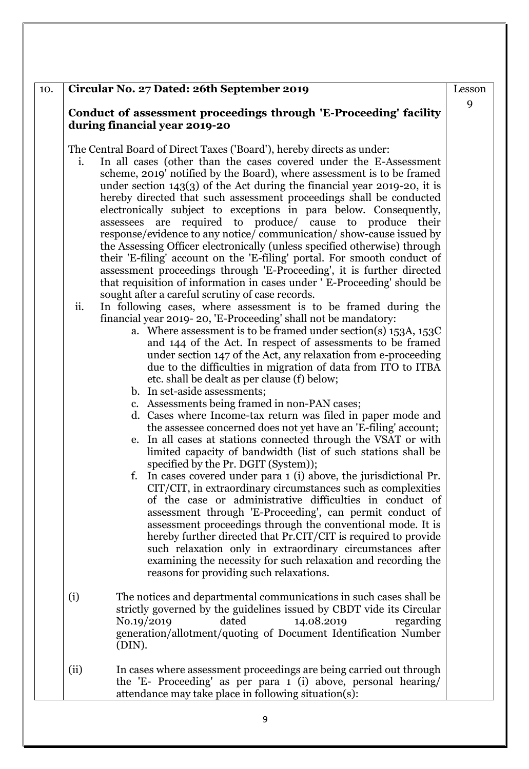#### 10. **Circular No. 27 Dated: 26th September 2019**

#### **Conduct of assessment proceedings through 'E-Proceeding' facility during financial year 2019-20**

The Central Board of Direct Taxes ('Board'), hereby directs as under:

- i. In all cases (other than the cases covered under the E-Assessment scheme, 2019' notified by the Board), where assessment is to be framed under section 143(3) of the Act during the financial year 2019-20, it is hereby directed that such assessment proceedings shall be conducted electronically subject to exceptions in para below. Consequently, assessees are required to produce/ cause to produce their response/evidence to any notice/ communication/ show-cause issued by the Assessing Officer electronically (unless specified otherwise) through their 'E-filing' account on the 'E-filing' portal. For smooth conduct of assessment proceedings through 'E-Proceeding', it is further directed that requisition of information in cases under ' E-Proceeding' should be sought after a careful scrutiny of case records.
- ii. In following cases, where assessment is to be framed during the financial year 2019- 20, 'E-Proceeding' shall not be mandatory:
	- a. Where assessment is to be framed under section(s) 153A, 153C and 144 of the Act. In respect of assessments to be framed under section 147 of the Act, any relaxation from e-proceeding due to the difficulties in migration of data from ITO to ITBA etc. shall be dealt as per clause (f) below;
	- b. In set-aside assessments;
	- c. Assessments being framed in non-PAN cases;
	- d. Cases where Income-tax return was filed in paper mode and the assessee concerned does not yet have an 'E-filing' account;
	- e. In all cases at stations connected through the VSAT or with limited capacity of bandwidth (list of such stations shall be specified by the Pr. DGIT (System));
	- f. In cases covered under para 1 (i) above, the jurisdictional Pr. CIT/CIT, in extraordinary circumstances such as complexities of the case or administrative difficulties in conduct of assessment through 'E-Proceeding', can permit conduct of assessment proceedings through the conventional mode. It is hereby further directed that Pr.CIT/CIT is required to provide such relaxation only in extraordinary circumstances after examining the necessity for such relaxation and recording the reasons for providing such relaxations.
- (i) The notices and departmental communications in such cases shall be strictly governed by the guidelines issued by CBDT vide its Circular No.19/2019 dated 14.08.2019 regarding generation/allotment/quoting of Document Identification Number (DIN).
- (ii) In cases where assessment proceedings are being carried out through the 'E- Proceeding' as per para 1 (i) above, personal hearing/ attendance may take place in following situation(s):

Lesson

9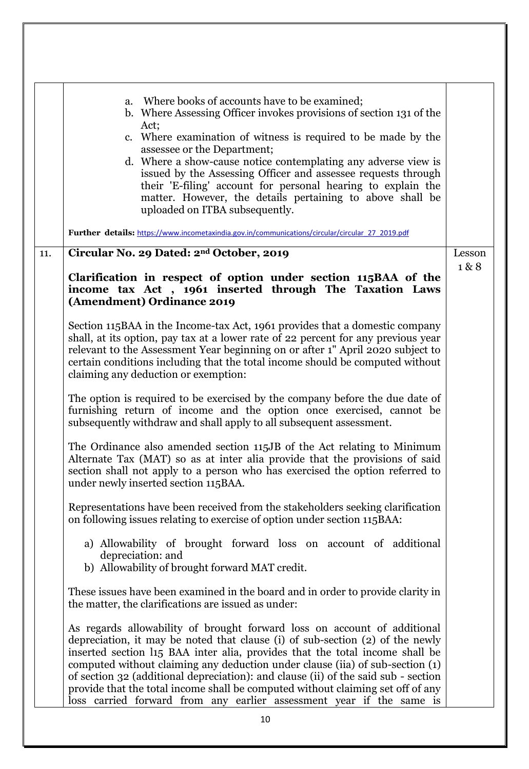|     | Where books of accounts have to be examined;<br>a.<br>b. Where Assessing Officer invokes provisions of section 131 of the<br>Act;<br>c. Where examination of witness is required to be made by the<br>assessee or the Department;<br>d. Where a show-cause notice contemplating any adverse view is<br>issued by the Assessing Officer and assessee requests through<br>their 'E-filing' account for personal hearing to explain the<br>matter. However, the details pertaining to above shall be<br>uploaded on ITBA subsequently.<br>Further details: https://www.incometaxindia.gov.in/communications/circular/circular 27 2019.pdf |        |
|-----|----------------------------------------------------------------------------------------------------------------------------------------------------------------------------------------------------------------------------------------------------------------------------------------------------------------------------------------------------------------------------------------------------------------------------------------------------------------------------------------------------------------------------------------------------------------------------------------------------------------------------------------|--------|
| 11. | Circular No. 29 Dated: 2 <sup>nd</sup> October, 2019                                                                                                                                                                                                                                                                                                                                                                                                                                                                                                                                                                                   | Lesson |
|     | Clarification in respect of option under section 115BAA of the<br>income tax Act, 1961 inserted through The Taxation Laws<br>(Amendment) Ordinance 2019                                                                                                                                                                                                                                                                                                                                                                                                                                                                                | 1&8    |
|     | Section 115BAA in the Income-tax Act, 1961 provides that a domestic company<br>shall, at its option, pay tax at a lower rate of 22 percent for any previous year<br>relevant to the Assessment Year beginning on or after 1" April 2020 subject to<br>certain conditions including that the total income should be computed without<br>claiming any deduction or exemption:                                                                                                                                                                                                                                                            |        |
|     | The option is required to be exercised by the company before the due date of<br>furnishing return of income and the option once exercised, cannot be<br>subsequently withdraw and shall apply to all subsequent assessment.                                                                                                                                                                                                                                                                                                                                                                                                            |        |
|     | The Ordinance also amended section 115JB of the Act relating to Minimum<br>Alternate Tax (MAT) so as at inter alia provide that the provisions of said<br>section shall not apply to a person who has exercised the option referred to<br>under newly inserted section 115BAA.                                                                                                                                                                                                                                                                                                                                                         |        |
|     | Representations have been received from the stakeholders seeking clarification<br>on following issues relating to exercise of option under section 115BAA:                                                                                                                                                                                                                                                                                                                                                                                                                                                                             |        |
|     | a) Allowability of brought forward loss on account of additional<br>depreciation: and<br>b) Allowability of brought forward MAT credit.                                                                                                                                                                                                                                                                                                                                                                                                                                                                                                |        |
|     | These issues have been examined in the board and in order to provide clarity in<br>the matter, the clarifications are issued as under:                                                                                                                                                                                                                                                                                                                                                                                                                                                                                                 |        |
|     | As regards allowability of brought forward loss on account of additional<br>depreciation, it may be noted that clause (i) of sub-section (2) of the newly<br>inserted section 115 BAA inter alia, provides that the total income shall be<br>computed without claiming any deduction under clause (iia) of sub-section (1)<br>of section 32 (additional depreciation): and clause (ii) of the said sub - section<br>provide that the total income shall be computed without claiming set off of any<br>loss carried forward from any earlier assessment year if the same is                                                            |        |
|     | 10                                                                                                                                                                                                                                                                                                                                                                                                                                                                                                                                                                                                                                     |        |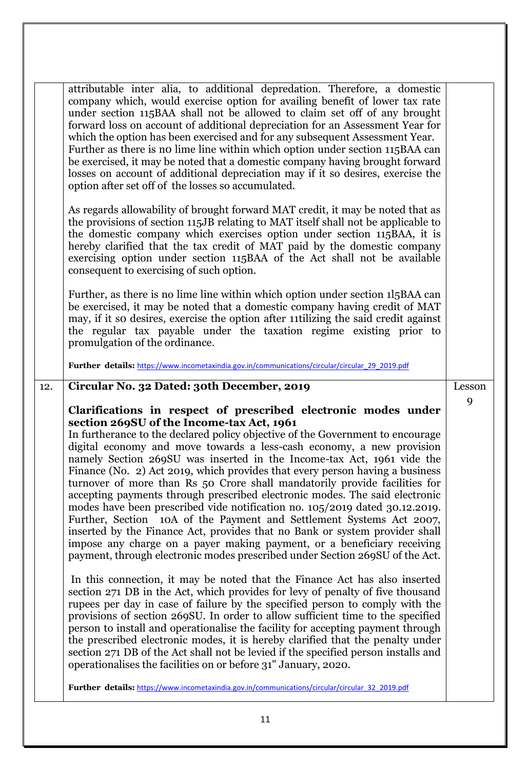|     | attributable inter alia, to additional depredation. Therefore, a domestic<br>company which, would exercise option for availing benefit of lower tax rate<br>under section 115BAA shall not be allowed to claim set off of any brought<br>forward loss on account of additional depreciation for an Assessment Year for<br>which the option has been exercised and for any subsequent Assessment Year.<br>Further as there is no lime line within which option under section 115BAA can<br>be exercised, it may be noted that a domestic company having brought forward<br>losses on account of additional depreciation may if it so desires, exercise the<br>option after set off of the losses so accumulated.                                                                                                                                                                                                                                                                                                                                                                                                                                                                                                                                                                                                                                                                                                                                                                                                                                                                                                                                                |        |
|-----|----------------------------------------------------------------------------------------------------------------------------------------------------------------------------------------------------------------------------------------------------------------------------------------------------------------------------------------------------------------------------------------------------------------------------------------------------------------------------------------------------------------------------------------------------------------------------------------------------------------------------------------------------------------------------------------------------------------------------------------------------------------------------------------------------------------------------------------------------------------------------------------------------------------------------------------------------------------------------------------------------------------------------------------------------------------------------------------------------------------------------------------------------------------------------------------------------------------------------------------------------------------------------------------------------------------------------------------------------------------------------------------------------------------------------------------------------------------------------------------------------------------------------------------------------------------------------------------------------------------------------------------------------------------|--------|
|     | As regards allowability of brought forward MAT credit, it may be noted that as<br>the provisions of section 115JB relating to MAT itself shall not be applicable to<br>the domestic company which exercises option under section 115BAA, it is<br>hereby clarified that the tax credit of MAT paid by the domestic company<br>exercising option under section 115BAA of the Act shall not be available<br>consequent to exercising of such option.                                                                                                                                                                                                                                                                                                                                                                                                                                                                                                                                                                                                                                                                                                                                                                                                                                                                                                                                                                                                                                                                                                                                                                                                             |        |
|     | Further, as there is no lime line within which option under section 115BAA can<br>be exercised, it may be noted that a domestic company having credit of MAT<br>may, if it so desires, exercise the option after 11 tilizing the said credit against<br>the regular tax payable under the taxation regime existing prior to<br>promulgation of the ordinance.                                                                                                                                                                                                                                                                                                                                                                                                                                                                                                                                                                                                                                                                                                                                                                                                                                                                                                                                                                                                                                                                                                                                                                                                                                                                                                  |        |
|     | Further details: https://www.incometaxindia.gov.in/communications/circular/circular 29 2019.pdf                                                                                                                                                                                                                                                                                                                                                                                                                                                                                                                                                                                                                                                                                                                                                                                                                                                                                                                                                                                                                                                                                                                                                                                                                                                                                                                                                                                                                                                                                                                                                                |        |
| 12. | Circular No. 32 Dated: 30th December, 2019                                                                                                                                                                                                                                                                                                                                                                                                                                                                                                                                                                                                                                                                                                                                                                                                                                                                                                                                                                                                                                                                                                                                                                                                                                                                                                                                                                                                                                                                                                                                                                                                                     | Lesson |
|     | Clarifications in respect of prescribed electronic modes under<br>section 269SU of the Income-tax Act, 1961<br>In furtherance to the declared policy objective of the Government to encourage<br>digital economy and move towards a less-cash economy, a new provision<br>namely Section 269SU was inserted in the Income-tax Act, 1961 vide the<br>Finance (No. 2) Act 2019, which provides that every person having a business<br>turnover of more than Rs 50 Crore shall mandatorily provide facilities for<br>accepting payments through prescribed electronic modes. The said electronic<br>modes have been prescribed vide notification no. 105/2019 dated 30.12.2019.<br>Further, Section 10A of the Payment and Settlement Systems Act 2007,<br>inserted by the Finance Act, provides that no Bank or system provider shall<br>impose any charge on a payer making payment, or a beneficiary receiving<br>payment, through electronic modes prescribed under Section 269SU of the Act.<br>In this connection, it may be noted that the Finance Act has also inserted<br>section 271 DB in the Act, which provides for levy of penalty of five thousand<br>rupees per day in case of failure by the specified person to comply with the<br>provisions of section 269SU. In order to allow sufficient time to the specified<br>person to install and operationalise the facility for accepting payment through<br>the prescribed electronic modes, it is hereby clarified that the penalty under<br>section 271 DB of the Act shall not be levied if the specified person installs and<br>operationalises the facilities on or before 31" January, 2020. | 9      |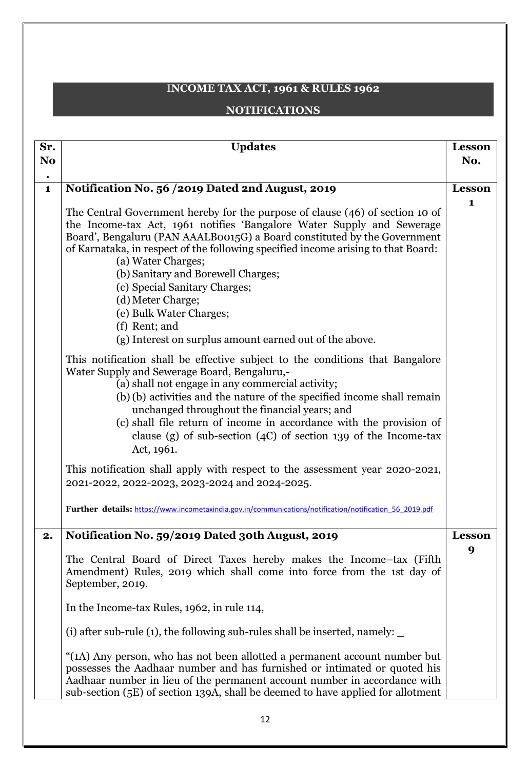# I**NCOME TAX ACT, 1961 & RULES 1962**

#### **NOTIFICATIONS**

| Sr.                         | <b>Updates</b>                                                                                                                                                                                                                                                                                                                                                                                                                                                                                                                                    | Lesson        |
|-----------------------------|---------------------------------------------------------------------------------------------------------------------------------------------------------------------------------------------------------------------------------------------------------------------------------------------------------------------------------------------------------------------------------------------------------------------------------------------------------------------------------------------------------------------------------------------------|---------------|
| N <sub>0</sub><br>$\bullet$ |                                                                                                                                                                                                                                                                                                                                                                                                                                                                                                                                                   | No.           |
| $\mathbf{1}$                | Notification No. 56 /2019 Dated 2nd August, 2019                                                                                                                                                                                                                                                                                                                                                                                                                                                                                                  | <b>Lesson</b> |
|                             | The Central Government hereby for the purpose of clause (46) of section 10 of<br>the Income-tax Act, 1961 notifies 'Bangalore Water Supply and Sewerage<br>Board', Bengaluru (PAN AAALBOO15G) a Board constituted by the Government<br>of Karnataka, in respect of the following specified income arising to that Board:<br>(a) Water Charges;<br>(b) Sanitary and Borewell Charges;<br>(c) Special Sanitary Charges;<br>(d) Meter Charge;<br>(e) Bulk Water Charges;<br>(f) Rent; and<br>(g) Interest on surplus amount earned out of the above. | $\mathbf 1$   |
|                             | This notification shall be effective subject to the conditions that Bangalore<br>Water Supply and Sewerage Board, Bengaluru,-<br>(a) shall not engage in any commercial activity;<br>(b) (b) activities and the nature of the specified income shall remain<br>unchanged throughout the financial years; and<br>(c) shall file return of income in accordance with the provision of<br>clause (g) of sub-section $(4C)$ of section 139 of the Income-tax<br>Act, 1961.                                                                            |               |
|                             | This notification shall apply with respect to the assessment year 2020-2021,<br>2021-2022, 2022-2023, 2023-2024 and 2024-2025.                                                                                                                                                                                                                                                                                                                                                                                                                    |               |
|                             | Further details: https://www.incometaxindia.gov.in/communications/notification/notification 56 2019.pdf                                                                                                                                                                                                                                                                                                                                                                                                                                           |               |
| 2.                          | Notification No. 59/2019 Dated 30th August, 2019                                                                                                                                                                                                                                                                                                                                                                                                                                                                                                  | Lesson        |
|                             | The Central Board of Direct Taxes hereby makes the Income-tax (Fifth<br>Amendment) Rules, 2019 which shall come into force from the 1st day of<br>September, 2019.                                                                                                                                                                                                                                                                                                                                                                                | 9             |
|                             | In the Income-tax Rules, 1962, in rule 114,                                                                                                                                                                                                                                                                                                                                                                                                                                                                                                       |               |
|                             | (i) after sub-rule (1), the following sub-rules shall be inserted, namely: $\overline{\phantom{a}}$                                                                                                                                                                                                                                                                                                                                                                                                                                               |               |
|                             | "(1A) Any person, who has not been allotted a permanent account number but<br>possesses the Aadhaar number and has furnished or intimated or quoted his<br>Aadhaar number in lieu of the permanent account number in accordance with<br>sub-section (5E) of section 139A, shall be deemed to have applied for allotment                                                                                                                                                                                                                           |               |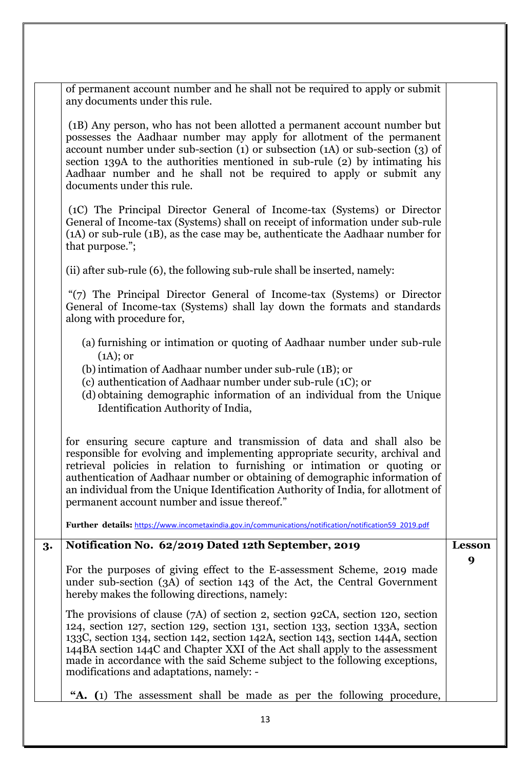|    | of permanent account number and he shall not be required to apply or submit<br>any documents under this rule.                                                                                                                                                                                                                                                                                                                                                     |                    |
|----|-------------------------------------------------------------------------------------------------------------------------------------------------------------------------------------------------------------------------------------------------------------------------------------------------------------------------------------------------------------------------------------------------------------------------------------------------------------------|--------------------|
|    | (1B) Any person, who has not been allotted a permanent account number but<br>possesses the Aadhaar number may apply for allotment of the permanent<br>account number under sub-section $(1)$ or subsection $(1)$ or sub-section $(3)$ of<br>section 139A to the authorities mentioned in sub-rule (2) by intimating his<br>Aadhaar number and he shall not be required to apply or submit any<br>documents under this rule.                                       |                    |
|    | (1C) The Principal Director General of Income-tax (Systems) or Director<br>General of Income-tax (Systems) shall on receipt of information under sub-rule<br>(1A) or sub-rule (1B), as the case may be, authenticate the Aadhaar number for<br>that purpose.";                                                                                                                                                                                                    |                    |
|    | (ii) after sub-rule (6), the following sub-rule shall be inserted, namely:                                                                                                                                                                                                                                                                                                                                                                                        |                    |
|    | "(7) The Principal Director General of Income-tax (Systems) or Director<br>General of Income-tax (Systems) shall lay down the formats and standards<br>along with procedure for,                                                                                                                                                                                                                                                                                  |                    |
|    | (a) furnishing or intimation or quoting of Aadhaar number under sub-rule<br>$(A)$ ; or<br>(b) intimation of Aadhaar number under sub-rule (1B); or<br>(c) authentication of Aadhaar number under sub-rule (1C); or<br>(d) obtaining demographic information of an individual from the Unique<br>Identification Authority of India,                                                                                                                                |                    |
|    | for ensuring secure capture and transmission of data and shall also be<br>responsible for evolving and implementing appropriate security, archival and<br>retrieval policies in relation to furnishing or intimation or quoting or<br>authentication of Aadhaar number or obtaining of demographic information of<br>an individual from the Unique Identification Authority of India, for allotment of<br>permanent account number and issue thereof."            |                    |
|    | Further details: https://www.incometaxindia.gov.in/communications/notification/notification59 2019.pdf                                                                                                                                                                                                                                                                                                                                                            |                    |
| 3. | Notification No. 62/2019 Dated 12th September, 2019                                                                                                                                                                                                                                                                                                                                                                                                               | <b>Lesson</b><br>9 |
|    | For the purposes of giving effect to the E-assessment Scheme, 2019 made<br>under sub-section (3A) of section 143 of the Act, the Central Government<br>hereby makes the following directions, namely:                                                                                                                                                                                                                                                             |                    |
|    | The provisions of clause $(7A)$ of section 2, section 92CA, section 120, section<br>124, section 127, section 129, section 131, section 133, section 133A, section<br>133C, section 134, section 142, section 142A, section 143, section 144A, section<br>144BA section 144C and Chapter XXI of the Act shall apply to the assessment<br>made in accordance with the said Scheme subject to the following exceptions,<br>modifications and adaptations, namely: - |                    |
|    | "A. (1) The assessment shall be made as per the following procedure,                                                                                                                                                                                                                                                                                                                                                                                              |                    |
|    |                                                                                                                                                                                                                                                                                                                                                                                                                                                                   |                    |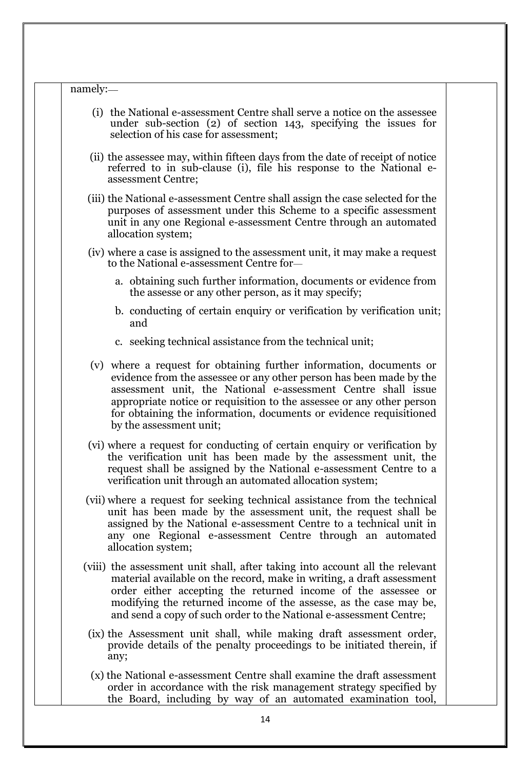#### namely:**\_\_**

- (i) the National e-assessment Centre shall serve a notice on the assessee under sub-section (2) of section 143, specifying the issues for selection of his case for assessment;
- (ii) the assessee may, within fifteen days from the date of receipt of notice referred to in sub-clause (i), file his response to the National eassessment Centre;
- (iii) the National e-assessment Centre shall assign the case selected for the purposes of assessment under this Scheme to a specific assessment unit in any one Regional e-assessment Centre through an automated allocation system;
- (iv) where a case is assigned to the assessment unit, it may make a request to the National e-assessment Centre for\_\_
	- a. obtaining such further information, documents or evidence from the assesse or any other person, as it may specify;
	- b. conducting of certain enquiry or verification by verification unit; and
	- c. seeking technical assistance from the technical unit;
- (v) where a request for obtaining further information, documents or evidence from the assessee or any other person has been made by the assessment unit, the National e-assessment Centre shall issue appropriate notice or requisition to the assessee or any other person for obtaining the information, documents or evidence requisitioned by the assessment unit;
- (vi) where a request for conducting of certain enquiry or verification by the verification unit has been made by the assessment unit, the request shall be assigned by the National e-assessment Centre to a verification unit through an automated allocation system;
- (vii) where a request for seeking technical assistance from the technical unit has been made by the assessment unit, the request shall be assigned by the National e-assessment Centre to a technical unit in any one Regional e-assessment Centre through an automated allocation system;
- (viii) the assessment unit shall, after taking into account all the relevant material available on the record, make in writing, a draft assessment order either accepting the returned income of the assessee or modifying the returned income of the assesse, as the case may be, and send a copy of such order to the National e-assessment Centre;
	- (ix) the Assessment unit shall, while making draft assessment order, provide details of the penalty proceedings to be initiated therein, if any;
	- (x) the National e-assessment Centre shall examine the draft assessment order in accordance with the risk management strategy specified by the Board, including by way of an automated examination tool,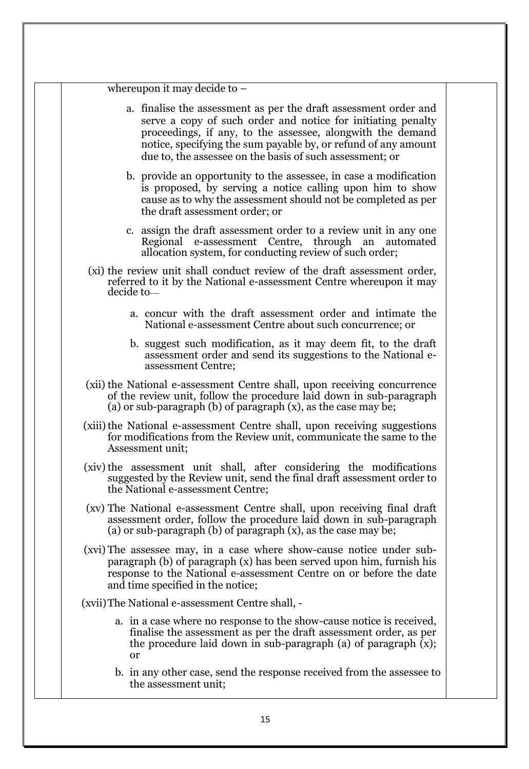|            | whereupon it may decide to $-$                                                                                                                                                                                                                                                                                               |
|------------|------------------------------------------------------------------------------------------------------------------------------------------------------------------------------------------------------------------------------------------------------------------------------------------------------------------------------|
|            | a. finalise the assessment as per the draft assessment order and<br>serve a copy of such order and notice for initiating penalty<br>proceedings, if any, to the assessee, alongwith the demand<br>notice, specifying the sum payable by, or refund of any amount<br>due to, the assessee on the basis of such assessment; or |
|            | b. provide an opportunity to the assessee, in case a modification<br>is proposed, by serving a notice calling upon him to show<br>cause as to why the assessment should not be completed as per<br>the draft assessment order; or                                                                                            |
|            | c. assign the draft assessment order to a review unit in any one<br>Regional e-assessment Centre, through an<br>automated<br>allocation system, for conducting review of such order;                                                                                                                                         |
| decide to- | (xi) the review unit shall conduct review of the draft assessment order,<br>referred to it by the National e-assessment Centre whereupon it may                                                                                                                                                                              |
|            | a. concur with the draft assessment order and intimate the<br>National e-assessment Centre about such concurrence; or                                                                                                                                                                                                        |
|            | b. suggest such modification, as it may deem fit, to the draft<br>assessment order and send its suggestions to the National e-<br>assessment Centre;                                                                                                                                                                         |
|            | (xii) the National e-assessment Centre shall, upon receiving concurrence<br>of the review unit, follow the procedure laid down in sub-paragraph<br>(a) or sub-paragraph (b) of paragraph $(x)$ , as the case may be;                                                                                                         |
|            | (xiii) the National e-assessment Centre shall, upon receiving suggestions<br>for modifications from the Review unit, communicate the same to the<br>Assessment unit;                                                                                                                                                         |
|            | (xiv) the assessment unit shall, after considering the modifications<br>suggested by the Review unit, send the final draft assessment order to<br>the National e-assessment Centre;                                                                                                                                          |
|            | (xv) The National e-assessment Centre shall, upon receiving final draft<br>assessment order, follow the procedure laid down in sub-paragraph<br>(a) or sub-paragraph (b) of paragraph $(x)$ , as the case may be;                                                                                                            |
|            | (xvi) The assessee may, in a case where show-cause notice under sub-<br>paragraph (b) of paragraph (x) has been served upon him, furnish his<br>response to the National e-assessment Centre on or before the date<br>and time specified in the notice;                                                                      |
|            | (xvii) The National e-assessment Centre shall, -                                                                                                                                                                                                                                                                             |
|            | a. in a case where no response to the show-cause notice is received,<br>finalise the assessment as per the draft assessment order, as per<br>the procedure laid down in sub-paragraph (a) of paragraph $(x)$ ;<br><b>or</b>                                                                                                  |
|            | b. in any other case, send the response received from the assessee to                                                                                                                                                                                                                                                        |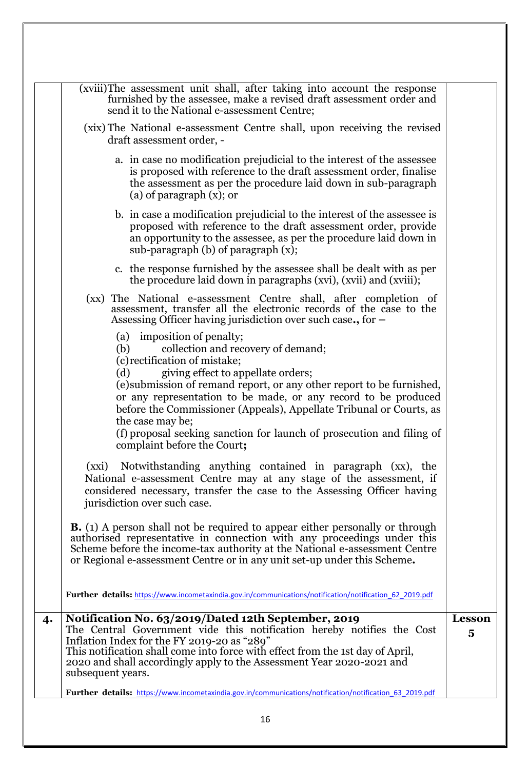|    | (xviii)The assessment unit shall, after taking into account the response<br>furnished by the assessee, make a revised draft assessment order and<br>send it to the National e-assessment Centre;                                                                                                                                                                                                                                                                                                    |                                          |
|----|-----------------------------------------------------------------------------------------------------------------------------------------------------------------------------------------------------------------------------------------------------------------------------------------------------------------------------------------------------------------------------------------------------------------------------------------------------------------------------------------------------|------------------------------------------|
|    | (xix) The National e-assessment Centre shall, upon receiving the revised<br>draft assessment order, -                                                                                                                                                                                                                                                                                                                                                                                               |                                          |
|    | a. in case no modification prejudicial to the interest of the assessee<br>is proposed with reference to the draft assessment order, finalise<br>the assessment as per the procedure laid down in sub-paragraph<br>(a) of paragraph $(x)$ ; or                                                                                                                                                                                                                                                       |                                          |
|    | b. in case a modification prejudicial to the interest of the assessee is<br>proposed with reference to the draft assessment order, provide<br>an opportunity to the assessee, as per the procedure laid down in<br>sub-paragraph $(b)$ of paragraph $(x)$ ;                                                                                                                                                                                                                                         |                                          |
|    | c. the response furnished by the assessee shall be dealt with as per<br>the procedure laid down in paragraphs (xvi), (xvii) and (xviii);                                                                                                                                                                                                                                                                                                                                                            |                                          |
|    | (xx) The National e-assessment Centre shall, after completion of<br>assessment, transfer all the electronic records of the case to the<br>Assessing Officer having jurisdiction over such case., for $-$                                                                                                                                                                                                                                                                                            |                                          |
|    | (a) imposition of penalty;<br>collection and recovery of demand;<br>(b)<br>(c) rectification of mistake;<br>giving effect to appellate orders;<br>(d)<br>(e) submission of remand report, or any other report to be furnished,<br>or any representation to be made, or any record to be produced<br>before the Commissioner (Appeals), Appellate Tribunal or Courts, as<br>the case may be;<br>(f) proposal seeking sanction for launch of prosecution and filing of<br>complaint before the Court; |                                          |
|    | (xxi) Notwithstanding anything contained in paragraph (xx), the<br>National e-assessment Centre may at any stage of the assessment, if<br>considered necessary, transfer the case to the Assessing Officer having<br>jurisdiction over such case.                                                                                                                                                                                                                                                   |                                          |
|    | <b>B.</b> (1) A person shall not be required to appear either personally or through<br>authorised representative in connection with any proceedings under this<br>Scheme before the income-tax authority at the National e-assessment Centre<br>or Regional e-assessment Centre or in any unit set-up under this Scheme.                                                                                                                                                                            |                                          |
|    | Further details: https://www.incometaxindia.gov.in/communications/notification/notification 62 2019.pdf                                                                                                                                                                                                                                                                                                                                                                                             |                                          |
| 4. | Notification No. 63/2019/Dated 12th September, 2019<br>The Central Government vide this notification hereby notifies the Cost<br>Inflation Index for the FY 2019-20 as "289"<br>This notification shall come into force with effect from the 1st day of April,<br>2020 and shall accordingly apply to the Assessment Year 2020-2021 and<br>subsequent years.                                                                                                                                        | <b>Lesson</b><br>$\overline{\mathbf{5}}$ |
|    | Further details: https://www.incometaxindia.gov.in/communications/notification/notification 63 2019.pdf                                                                                                                                                                                                                                                                                                                                                                                             |                                          |
|    | 16                                                                                                                                                                                                                                                                                                                                                                                                                                                                                                  |                                          |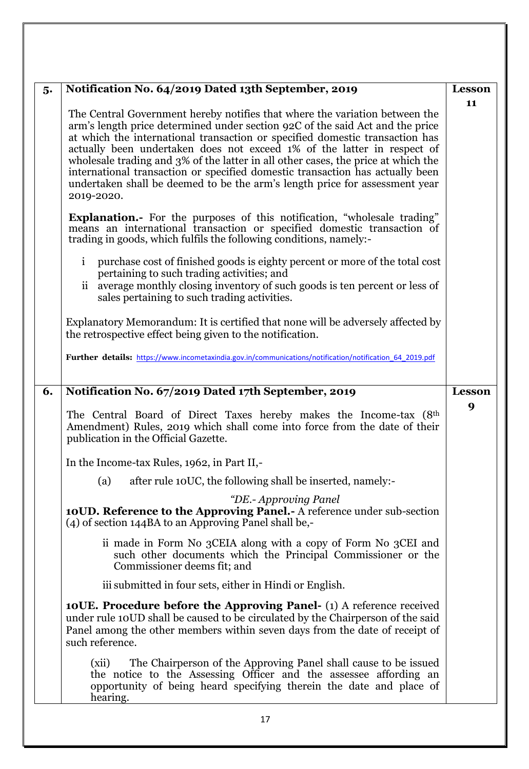| 5. | Notification No. 64/2019 Dated 13th September, 2019                                                                                                                                                                                                                                                                                                                                                                                                                                                                                                                                        | <b>Lesson</b> |
|----|--------------------------------------------------------------------------------------------------------------------------------------------------------------------------------------------------------------------------------------------------------------------------------------------------------------------------------------------------------------------------------------------------------------------------------------------------------------------------------------------------------------------------------------------------------------------------------------------|---------------|
|    | The Central Government hereby notifies that where the variation between the<br>arm's length price determined under section 92C of the said Act and the price<br>at which the international transaction or specified domestic transaction has<br>actually been undertaken does not exceed 1% of the latter in respect of<br>wholesale trading and 3% of the latter in all other cases, the price at which the<br>international transaction or specified domestic transaction has actually been<br>undertaken shall be deemed to be the arm's length price for assessment year<br>2019-2020. | 11            |
|    | Explanation.- For the purposes of this notification, "wholesale trading"<br>means an international transaction or specified domestic transaction of<br>trading in goods, which fulfils the following conditions, namely:-                                                                                                                                                                                                                                                                                                                                                                  |               |
|    | $\mathbf{i}$<br>purchase cost of finished goods is eighty percent or more of the total cost<br>pertaining to such trading activities; and<br>ii average monthly closing inventory of such goods is ten percent or less of<br>sales pertaining to such trading activities.                                                                                                                                                                                                                                                                                                                  |               |
|    | Explanatory Memorandum: It is certified that none will be adversely affected by<br>the retrospective effect being given to the notification.                                                                                                                                                                                                                                                                                                                                                                                                                                               |               |
|    | Further details: https://www.incometaxindia.gov.in/communications/notification/notification 64 2019.pdf                                                                                                                                                                                                                                                                                                                                                                                                                                                                                    |               |
| 6. | Notification No. 67/2019 Dated 17th September, 2019                                                                                                                                                                                                                                                                                                                                                                                                                                                                                                                                        | <b>Lesson</b> |
|    | The Central Board of Direct Taxes hereby makes the Income-tax (8 <sup>th</sup> )<br>Amendment) Rules, 2019 which shall come into force from the date of their<br>publication in the Official Gazette.                                                                                                                                                                                                                                                                                                                                                                                      | 9             |
|    | In the Income-tax Rules, 1962, in Part II,-                                                                                                                                                                                                                                                                                                                                                                                                                                                                                                                                                |               |
|    | after rule 10UC, the following shall be inserted, namely:-<br>(a)                                                                                                                                                                                                                                                                                                                                                                                                                                                                                                                          |               |
|    | "DE.- Approving Panel<br>10UD. Reference to the Approving Panel. - A reference under sub-section<br>(4) of section 144BA to an Approving Panel shall be,-                                                                                                                                                                                                                                                                                                                                                                                                                                  |               |
|    | ii made in Form No 3CEIA along with a copy of Form No 3CEI and<br>such other documents which the Principal Commissioner or the<br>Commissioner deems fit; and                                                                                                                                                                                                                                                                                                                                                                                                                              |               |
|    | iii submitted in four sets, either in Hindi or English.                                                                                                                                                                                                                                                                                                                                                                                                                                                                                                                                    |               |
|    | <b>10UE. Procedure before the Approving Panel-</b> (1) A reference received<br>under rule 10UD shall be caused to be circulated by the Chairperson of the said<br>Panel among the other members within seven days from the date of receipt of<br>such reference.                                                                                                                                                                                                                                                                                                                           |               |
|    | The Chairperson of the Approving Panel shall cause to be issued<br>(xii)<br>the notice to the Assessing Officer and the assessee affording an<br>opportunity of being heard specifying therein the date and place of<br>hearing.                                                                                                                                                                                                                                                                                                                                                           |               |
| 17 |                                                                                                                                                                                                                                                                                                                                                                                                                                                                                                                                                                                            |               |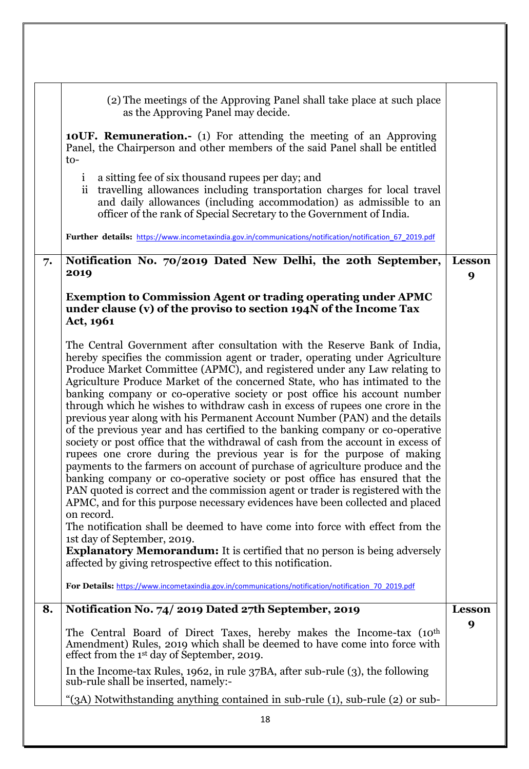|    | (2) The meetings of the Approving Panel shall take place at such place<br>as the Approving Panel may decide.<br><b>10UF. Remuneration.-</b> (1) For attending the meeting of an Approving<br>Panel, the Chairperson and other members of the said Panel shall be entitled<br>to-<br>a sitting fee of six thousand rupees per day; and<br>$\mathbf{1}$                                                                                                                                                                                                                                                                                                                                                                                                                                                                                                                                                                                                                                                                                                                                                                                                                                                                                                                               |                    |
|----|-------------------------------------------------------------------------------------------------------------------------------------------------------------------------------------------------------------------------------------------------------------------------------------------------------------------------------------------------------------------------------------------------------------------------------------------------------------------------------------------------------------------------------------------------------------------------------------------------------------------------------------------------------------------------------------------------------------------------------------------------------------------------------------------------------------------------------------------------------------------------------------------------------------------------------------------------------------------------------------------------------------------------------------------------------------------------------------------------------------------------------------------------------------------------------------------------------------------------------------------------------------------------------------|--------------------|
|    | travelling allowances including transportation charges for local travel<br>$\ddot{\rm ii}$<br>and daily allowances (including accommodation) as admissible to an<br>officer of the rank of Special Secretary to the Government of India.                                                                                                                                                                                                                                                                                                                                                                                                                                                                                                                                                                                                                                                                                                                                                                                                                                                                                                                                                                                                                                            |                    |
|    | Further details: https://www.incometaxindia.gov.in/communications/notification/notification 67 2019.pdf                                                                                                                                                                                                                                                                                                                                                                                                                                                                                                                                                                                                                                                                                                                                                                                                                                                                                                                                                                                                                                                                                                                                                                             |                    |
| 7. | Notification No. 70/2019 Dated New Delhi, the 20th September,<br>2019                                                                                                                                                                                                                                                                                                                                                                                                                                                                                                                                                                                                                                                                                                                                                                                                                                                                                                                                                                                                                                                                                                                                                                                                               | <b>Lesson</b><br>9 |
|    | <b>Exemption to Commission Agent or trading operating under APMC</b><br>under clause (v) of the proviso to section 194N of the Income Tax<br>Act, 1961                                                                                                                                                                                                                                                                                                                                                                                                                                                                                                                                                                                                                                                                                                                                                                                                                                                                                                                                                                                                                                                                                                                              |                    |
|    | The Central Government after consultation with the Reserve Bank of India,<br>hereby specifies the commission agent or trader, operating under Agriculture<br>Produce Market Committee (APMC), and registered under any Law relating to<br>Agriculture Produce Market of the concerned State, who has intimated to the<br>banking company or co-operative society or post office his account number<br>through which he wishes to withdraw cash in excess of rupees one crore in the<br>previous year along with his Permanent Account Number (PAN) and the details<br>of the previous year and has certified to the banking company or co-operative<br>society or post office that the withdrawal of cash from the account in excess of<br>rupees one crore during the previous year is for the purpose of making<br>payments to the farmers on account of purchase of agriculture produce and the<br>banking company or co-operative society or post office has ensured that the<br>PAN quoted is correct and the commission agent or trader is registered with the<br>APMC, and for this purpose necessary evidences have been collected and placed<br>on record.<br>The notification shall be deemed to have come into force with effect from the<br>1st day of September, 2019. |                    |
|    | <b>Explanatory Memorandum:</b> It is certified that no person is being adversely<br>affected by giving retrospective effect to this notification.<br>For Details: https://www.incometaxindia.gov.in/communications/notification/notification 70 2019.pdf                                                                                                                                                                                                                                                                                                                                                                                                                                                                                                                                                                                                                                                                                                                                                                                                                                                                                                                                                                                                                            |                    |
| 8. | Notification No. 74/2019 Dated 27th September, 2019                                                                                                                                                                                                                                                                                                                                                                                                                                                                                                                                                                                                                                                                                                                                                                                                                                                                                                                                                                                                                                                                                                                                                                                                                                 | <b>Lesson</b>      |
|    | The Central Board of Direct Taxes, hereby makes the Income-tax (10 <sup>th</sup> )<br>Amendment) Rules, 2019 which shall be deemed to have come into force with<br>effect from the 1 <sup>st</sup> day of September, 2019.                                                                                                                                                                                                                                                                                                                                                                                                                                                                                                                                                                                                                                                                                                                                                                                                                                                                                                                                                                                                                                                          | 9                  |
|    | In the Income-tax Rules, 1962, in rule $37BA$ , after sub-rule $(3)$ , the following<br>sub-rule shall be inserted, namely:-                                                                                                                                                                                                                                                                                                                                                                                                                                                                                                                                                                                                                                                                                                                                                                                                                                                                                                                                                                                                                                                                                                                                                        |                    |
|    | "(3A) Notwithstanding anything contained in sub-rule (1), sub-rule (2) or sub-                                                                                                                                                                                                                                                                                                                                                                                                                                                                                                                                                                                                                                                                                                                                                                                                                                                                                                                                                                                                                                                                                                                                                                                                      |                    |
|    | 18                                                                                                                                                                                                                                                                                                                                                                                                                                                                                                                                                                                                                                                                                                                                                                                                                                                                                                                                                                                                                                                                                                                                                                                                                                                                                  |                    |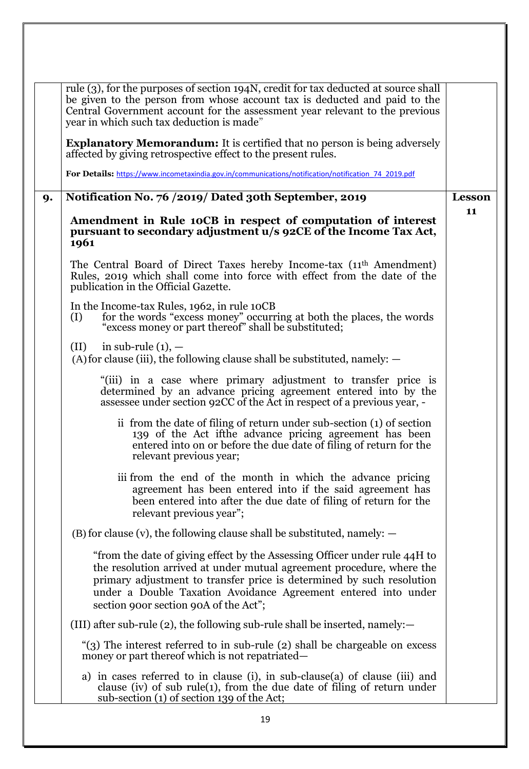|    | rule (3), for the purposes of section 194N, credit for tax deducted at source shall<br>be given to the person from whose account tax is deducted and paid to the<br>Central Government account for the assessment year relevant to the previous<br>year in which such tax deduction is made"                                            |               |
|----|-----------------------------------------------------------------------------------------------------------------------------------------------------------------------------------------------------------------------------------------------------------------------------------------------------------------------------------------|---------------|
|    | <b>Explanatory Memorandum:</b> It is certified that no person is being adversely<br>affected by giving retrospective effect to the present rules.                                                                                                                                                                                       |               |
|    | For Details: https://www.incometaxindia.gov.in/communications/notification/notification 74 2019.pdf                                                                                                                                                                                                                                     |               |
| 9. | Notification No. 76 / 2019/ Dated 30th September, 2019                                                                                                                                                                                                                                                                                  | <b>Lesson</b> |
|    | Amendment in Rule 10CB in respect of computation of interest<br>pursuant to secondary adjustment u/s 92CE of the Income Tax Act,<br>1961                                                                                                                                                                                                | 11            |
|    | The Central Board of Direct Taxes hereby Income-tax (11 <sup>th</sup> Amendment)<br>Rules, 2019 which shall come into force with effect from the date of the<br>publication in the Official Gazette.                                                                                                                                    |               |
|    | In the Income-tax Rules, 1962, in rule 10CB<br>for the words "excess money" occurring at both the places, the words "excess money or part thereof" shall be substituted;<br>(I)                                                                                                                                                         |               |
|    | in sub-rule $(1)$ , $-$<br>(II)<br>$(A)$ for clause (iii), the following clause shall be substituted, namely: $-$                                                                                                                                                                                                                       |               |
|    | "(iii) in a case where primary adjustment to transfer price is<br>determined by an advance pricing agreement entered into by the<br>assessee under section 92CC of the Act in respect of a previous year, -                                                                                                                             |               |
|    | ii from the date of filing of return under sub-section (1) of section<br>139 of the Act ifthe advance pricing agreement has been<br>entered into on or before the due date of filing of return for the<br>relevant previous year;                                                                                                       |               |
|    | iii from the end of the month in which the advance pricing<br>agreement has been entered into if the said agreement has<br>been entered into after the due date of filing of return for the<br>relevant previous year";                                                                                                                 |               |
|    | $(B)$ for clause (v), the following clause shall be substituted, namely: $-$                                                                                                                                                                                                                                                            |               |
|    | "from the date of giving effect by the Assessing Officer under rule 44H to<br>the resolution arrived at under mutual agreement procedure, where the<br>primary adjustment to transfer price is determined by such resolution<br>under a Double Taxation Avoidance Agreement entered into under<br>section 900r section 90A of the Act"; |               |
|    | (III) after sub-rule (2), the following sub-rule shall be inserted, namely: $-$                                                                                                                                                                                                                                                         |               |
|    | "(3) The interest referred to in sub-rule (2) shall be chargeable on excess<br>money or part thereof which is not repatriated—                                                                                                                                                                                                          |               |
|    | a) in cases referred to in clause (i), in sub-clause (a) of clause (iii) and<br>clause (iv) of sub rule(1), from the due date of filing of return under<br>sub-section (1) of section 139 of the Act;                                                                                                                                   |               |
|    | 19                                                                                                                                                                                                                                                                                                                                      |               |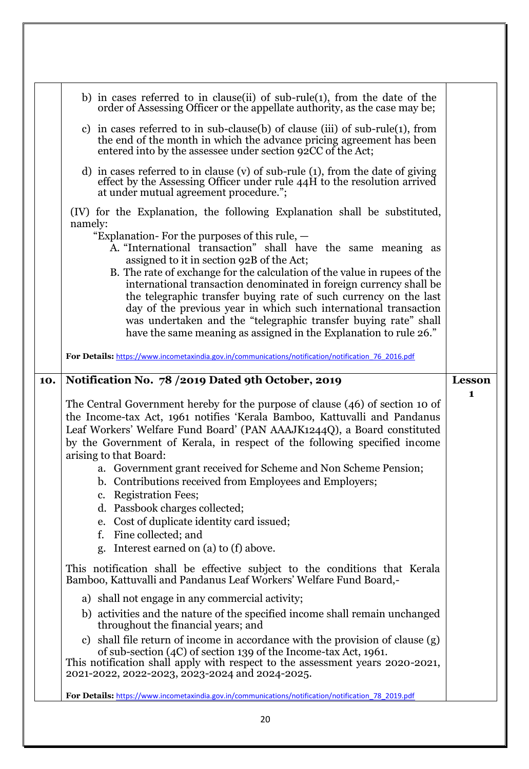|     | b) in cases referred to in clause (ii) of sub-rule (1), from the date of the<br>order of Assessing Officer or the appellate authority, as the case may be;                                                                                                                                                                                   |               |
|-----|----------------------------------------------------------------------------------------------------------------------------------------------------------------------------------------------------------------------------------------------------------------------------------------------------------------------------------------------|---------------|
|     | c) in cases referred to in sub-clause(b) of clause (iii) of sub-rule(1), from<br>the end of the month in which the advance pricing agreement has been<br>entered into by the assessee under section 92CC of the Act;                                                                                                                         |               |
|     | d) in cases referred to in clause (v) of sub-rule (1), from the date of giving<br>effect by the Assessing Officer under rule 44H to the resolution arrived<br>at under mutual agreement procedure.";                                                                                                                                         |               |
|     | (IV) for the Explanation, the following Explanation shall be substituted,<br>namely:                                                                                                                                                                                                                                                         |               |
|     | "Explanation-For the purposes of this rule, $-$<br>A. "International transaction" shall have the same meaning as<br>assigned to it in section 92B of the Act;<br>B. The rate of exchange for the calculation of the value in rupees of the                                                                                                   |               |
|     | international transaction denominated in foreign currency shall be<br>the telegraphic transfer buying rate of such currency on the last                                                                                                                                                                                                      |               |
|     | day of the previous year in which such international transaction<br>was undertaken and the "telegraphic transfer buying rate" shall<br>have the same meaning as assigned in the Explanation to rule 26."                                                                                                                                     |               |
|     | For Details: https://www.incometaxindia.gov.in/communications/notification/notification 76 2016.pdf                                                                                                                                                                                                                                          |               |
| 10. | Notification No. 78 / 2019 Dated 9th October, 2019                                                                                                                                                                                                                                                                                           | <b>Lesson</b> |
|     |                                                                                                                                                                                                                                                                                                                                              | $\mathbf{1}$  |
|     | The Central Government hereby for the purpose of clause (46) of section 10 of<br>the Income-tax Act, 1961 notifies 'Kerala Bamboo, Kattuvalli and Pandanus<br>Leaf Workers' Welfare Fund Board' (PAN AAAJK1244Q), a Board constituted<br>by the Government of Kerala, in respect of the following specified income<br>arising to that Board: |               |
|     | a. Government grant received for Scheme and Non Scheme Pension;<br>b. Contributions received from Employees and Employers;                                                                                                                                                                                                                   |               |
|     | c. Registration Fees;<br>d. Passbook charges collected;                                                                                                                                                                                                                                                                                      |               |
|     | e. Cost of duplicate identity card issued;<br>Fine collected; and<br>f.                                                                                                                                                                                                                                                                      |               |
|     | Interest earned on (a) to (f) above.<br>g.                                                                                                                                                                                                                                                                                                   |               |
|     | This notification shall be effective subject to the conditions that Kerala<br>Bamboo, Kattuvalli and Pandanus Leaf Workers' Welfare Fund Board,-                                                                                                                                                                                             |               |
|     | a) shall not engage in any commercial activity;                                                                                                                                                                                                                                                                                              |               |
|     | b) activities and the nature of the specified income shall remain unchanged<br>throughout the financial years; and                                                                                                                                                                                                                           |               |
|     | c) shall file return of income in accordance with the provision of clause (g)<br>of sub-section (4C) of section 139 of the Income-tax Act, 1961.<br>This notification shall apply with respect to the assessment years 2020-2021,<br>2021-2022, 2022-2023, 2023-2024 and 2024-2025.                                                          |               |
|     | For Details: https://www.incometaxindia.gov.in/communications/notification/notification 78 2019.pdf                                                                                                                                                                                                                                          |               |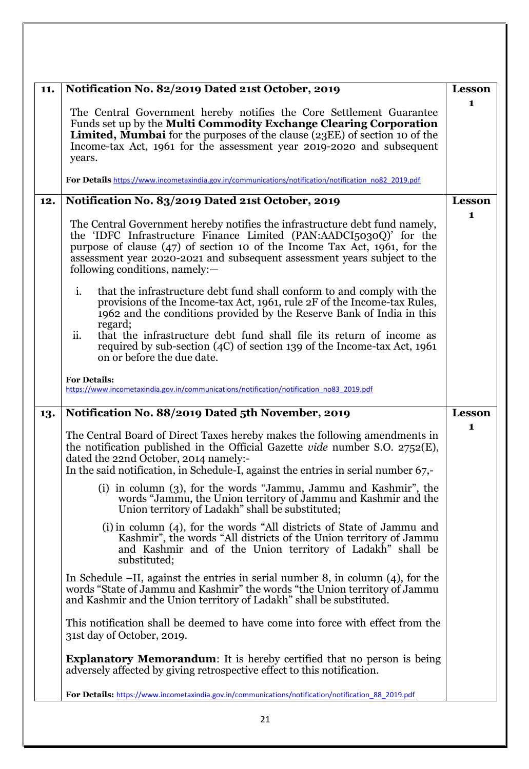| 11. | Notification No. 82/2019 Dated 21st October, 2019                                                                                                                                                                                                                                                                                                                                                                                                                                                                                                                                    | <b>Lesson</b> |
|-----|--------------------------------------------------------------------------------------------------------------------------------------------------------------------------------------------------------------------------------------------------------------------------------------------------------------------------------------------------------------------------------------------------------------------------------------------------------------------------------------------------------------------------------------------------------------------------------------|---------------|
|     | The Central Government hereby notifies the Core Settlement Guarantee<br>Funds set up by the Multi Commodity Exchange Clearing Corporation<br><b>Limited, Mumbai</b> for the purposes of the clause (23EE) of section 10 of the<br>Income-tax Act, 1961 for the assessment year 2019-2020 and subsequent<br>years.                                                                                                                                                                                                                                                                    | 1             |
|     | For Details https://www.incometaxindia.gov.in/communications/notification/notification_no82_2019.pdf                                                                                                                                                                                                                                                                                                                                                                                                                                                                                 |               |
| 12. | Notification No. 83/2019 Dated 21st October, 2019                                                                                                                                                                                                                                                                                                                                                                                                                                                                                                                                    | Lesson        |
|     | The Central Government hereby notifies the infrastructure debt fund namely,<br>the 'IDFC Infrastructure Finance Limited (PAN:AADCI5030Q)' for the<br>purpose of clause (47) of section 10 of the Income Tax Act, 1961, for the<br>assessment year 2020-2021 and subsequent assessment years subject to the<br>following conditions, namely: $-$<br>i.<br>that the infrastructure debt fund shall conform to and comply with the<br>provisions of the Income-tax Act, 1961, rule 2F of the Income-tax Rules,<br>1962 and the conditions provided by the Reserve Bank of India in this | 1             |
|     | regard;<br>ii.<br>that the infrastructure debt fund shall file its return of income as<br>required by sub-section (4C) of section 139 of the Income-tax Act, 1961<br>on or before the due date.                                                                                                                                                                                                                                                                                                                                                                                      |               |
|     | <b>For Details:</b><br>https://www.incometaxindia.gov.in/communications/notification/notification no83 2019.pdf                                                                                                                                                                                                                                                                                                                                                                                                                                                                      |               |
| 13. | Notification No. 88/2019 Dated 5th November, 2019                                                                                                                                                                                                                                                                                                                                                                                                                                                                                                                                    | <b>Lesson</b> |
|     | The Central Board of Direct Taxes hereby makes the following amendments in<br>the notification published in the Official Gazette vide number S.O. $2752(E)$ ,<br>dated the 22nd October, 2014 namely:-<br>In the said notification, in Schedule-I, against the entries in serial number 67,-                                                                                                                                                                                                                                                                                         | 1             |
|     | (i) in column (3), for the words "Jammu, Jammu and Kashmir", the<br>words "Jammu, the Union territory of Jammu and Kashmir and the<br>Union territory of Ladakh" shall be substituted;                                                                                                                                                                                                                                                                                                                                                                                               |               |
|     | (i) in column (4), for the words "All districts of State of Jammu and                                                                                                                                                                                                                                                                                                                                                                                                                                                                                                                |               |
|     | Kashmir", the words "All districts of the Union territory of Jammu<br>and Kashmir and of the Union territory of Ladakh" shall be<br>substituted;                                                                                                                                                                                                                                                                                                                                                                                                                                     |               |
|     | In Schedule $-II$ , against the entries in serial number 8, in column $(4)$ , for the<br>words "State of Jammu and Kashmir" the words "the Union territory of Jammu<br>and Kashmir and the Union territory of Ladakh" shall be substituted.                                                                                                                                                                                                                                                                                                                                          |               |
|     | This notification shall be deemed to have come into force with effect from the<br>31st day of October, 2019.                                                                                                                                                                                                                                                                                                                                                                                                                                                                         |               |
|     | <b>Explanatory Memorandum:</b> It is hereby certified that no person is being<br>adversely affected by giving retrospective effect to this notification.                                                                                                                                                                                                                                                                                                                                                                                                                             |               |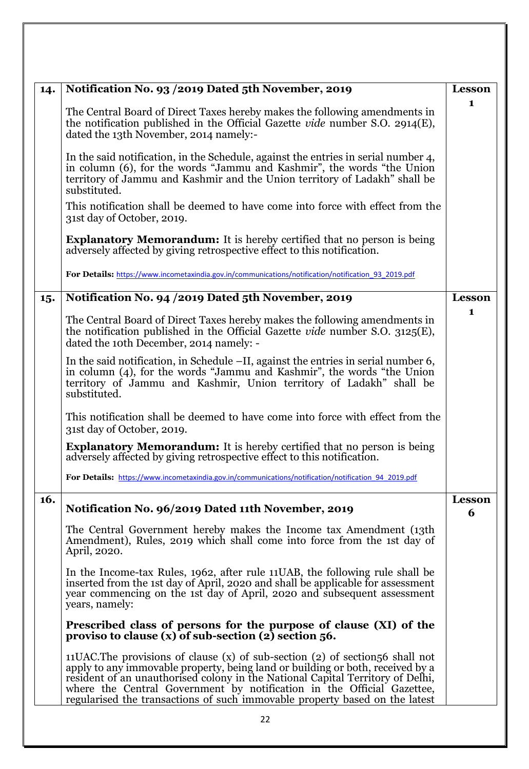| 14. | Notification No. 93 / 2019 Dated 5th November, 2019                                                                                                                                                                                                                                                                                                                                                          | <b>Lesson</b> |
|-----|--------------------------------------------------------------------------------------------------------------------------------------------------------------------------------------------------------------------------------------------------------------------------------------------------------------------------------------------------------------------------------------------------------------|---------------|
|     | The Central Board of Direct Taxes hereby makes the following amendments in<br>the notification published in the Official Gazette vide number S.O. 2914(E),<br>dated the 13th November, 2014 namely:-                                                                                                                                                                                                         | $\mathbf{1}$  |
|     | In the said notification, in the Schedule, against the entries in serial number 4,<br>in column (6), for the words "Jammu and Kashmir", the words "the Union<br>territory of Jammu and Kashmir and the Union territory of Ladakh" shall be<br>substituted.                                                                                                                                                   |               |
|     | This notification shall be deemed to have come into force with effect from the<br>31st day of October, 2019.                                                                                                                                                                                                                                                                                                 |               |
|     | <b>Explanatory Memorandum:</b> It is hereby certified that no person is being<br>adversely affected by giving retrospective effect to this notification.                                                                                                                                                                                                                                                     |               |
|     | For Details: https://www.incometaxindia.gov.in/communications/notification/notification 93 2019.pdf                                                                                                                                                                                                                                                                                                          |               |
| 15. | Notification No. 94 / 2019 Dated 5th November, 2019                                                                                                                                                                                                                                                                                                                                                          | <b>Lesson</b> |
|     |                                                                                                                                                                                                                                                                                                                                                                                                              | $\mathbf 1$   |
|     | The Central Board of Direct Taxes hereby makes the following amendments in<br>the notification published in the Official Gazette vide number S.O. $3125(E)$ ,<br>dated the 10th December, 2014 namely: -                                                                                                                                                                                                     |               |
|     | In the said notification, in Schedule -II, against the entries in serial number 6,<br>in column (4), for the words "Jammu and Kashmir", the words "the Union<br>territory of Jammu and Kashmir, Union territory of Ladakh" shall be<br>substituted.                                                                                                                                                          |               |
|     | This notification shall be deemed to have come into force with effect from the<br>31st day of October, 2019.                                                                                                                                                                                                                                                                                                 |               |
|     | <b>Explanatory Memorandum:</b> It is hereby certified that no person is being<br>adversely affected by giving retrospective effect to this notification.                                                                                                                                                                                                                                                     |               |
|     | For Details: https://www.incometaxindia.gov.in/communications/notification/notification 94 2019.pdf                                                                                                                                                                                                                                                                                                          |               |
| 16. | Notification No. 96/2019 Dated 11th November, 2019                                                                                                                                                                                                                                                                                                                                                           | <b>Lesson</b> |
|     |                                                                                                                                                                                                                                                                                                                                                                                                              | 6             |
|     | The Central Government hereby makes the Income tax Amendment (13th<br>Amendment), Rules, 2019 which shall come into force from the 1st day of<br>April, 2020.                                                                                                                                                                                                                                                |               |
|     | In the Income-tax Rules, 1962, after rule 11 UAB, the following rule shall be<br>inserted from the 1st day of April, 2020 and shall be applicable for assessment<br>year commencing on the 1st day of April, 2020 and subsequent assessment<br>years, namely:                                                                                                                                                |               |
|     | Prescribed class of persons for the purpose of clause (XI) of the<br>proviso to clause $(x)$ of sub-section $(2)$ section 56.                                                                                                                                                                                                                                                                                |               |
|     | 11 UAC. The provisions of clause $(x)$ of sub-section $(2)$ of section $56$ shall not<br>apply to any immovable property, being land or building or both, received by a resident of an unauthorised colony in the National Capital Territory of Delhi,<br>where the Central Government by notification in the Official Gazettee, regularised the transactions of such immovable property based on the latest |               |
|     | 22                                                                                                                                                                                                                                                                                                                                                                                                           |               |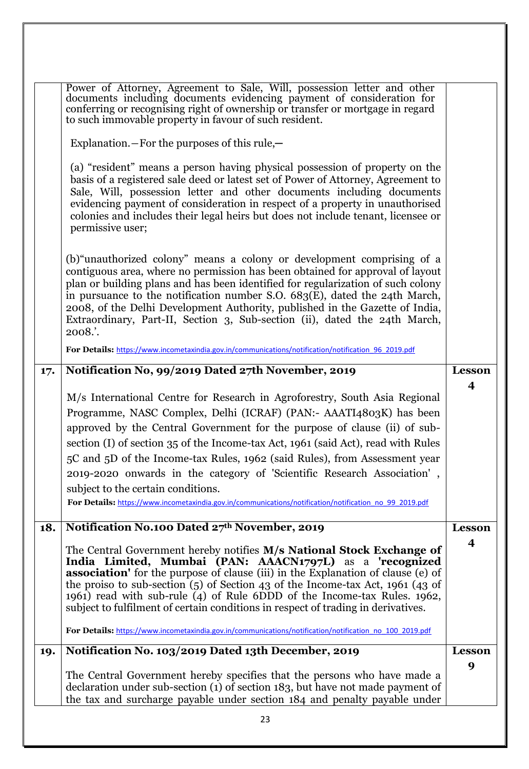|     | Power of Attorney, Agreement to Sale, Will, possession letter and other<br>documents including documents evidencing payment of consideration for<br>conferring or recognising right of ownership or transfer or mortgage in regard<br>to such immovable property in favour of such resident.                                                                                                                                                                                                                                                                                                                                |                  |
|-----|-----------------------------------------------------------------------------------------------------------------------------------------------------------------------------------------------------------------------------------------------------------------------------------------------------------------------------------------------------------------------------------------------------------------------------------------------------------------------------------------------------------------------------------------------------------------------------------------------------------------------------|------------------|
|     | Explanation. $-$ For the purposes of this rule, $-$                                                                                                                                                                                                                                                                                                                                                                                                                                                                                                                                                                         |                  |
|     | (a) "resident" means a person having physical possession of property on the<br>basis of a registered sale deed or latest set of Power of Attorney, Agreement to<br>Sale, Will, possession letter and other documents including documents<br>evidencing payment of consideration in respect of a property in unauthorised<br>colonies and includes their legal heirs but does not include tenant, licensee or<br>permissive user;                                                                                                                                                                                            |                  |
|     | (b) "unauthorized colony" means a colony or development comprising of a<br>contiguous area, where no permission has been obtained for approval of layout<br>plan or building plans and has been identified for regularization of such colony<br>in pursuance to the notification number S.O. 683(E), dated the 24th March,<br>2008, of the Delhi Development Authority, published in the Gazette of India,<br>Extraordinary, Part-II, Section 3, Sub-section (ii), dated the 24th March,<br>2008.'.                                                                                                                         |                  |
|     | For Details: https://www.incometaxindia.gov.in/communications/notification/notification 96 2019.pdf                                                                                                                                                                                                                                                                                                                                                                                                                                                                                                                         |                  |
| 17. | Notification No, 99/2019 Dated 27th November, 2019                                                                                                                                                                                                                                                                                                                                                                                                                                                                                                                                                                          | <b>Lesson</b>    |
|     | M/s International Centre for Research in Agroforestry, South Asia Regional<br>Programme, NASC Complex, Delhi (ICRAF) (PAN:- AAATI4803K) has been<br>approved by the Central Government for the purpose of clause (ii) of sub-<br>section (I) of section 35 of the Income-tax Act, 1961 (said Act), read with Rules<br>5C and 5D of the Income-tax Rules, 1962 (said Rules), from Assessment year<br>2019-2020 onwards in the category of 'Scientific Research Association',<br>subject to the certain conditions.<br>For Details: https://www.incometaxindia.gov.in/communications/notification/notification no 99 2019.pdf | $\boldsymbol{4}$ |
| 18. | Notification No.100 Dated 27th November, 2019                                                                                                                                                                                                                                                                                                                                                                                                                                                                                                                                                                               | <b>Lesson</b>    |
|     | The Central Government hereby notifies M/s National Stock Exchange of<br>India Limited, Mumbai (PAN: AAACN1797L) as a 'recognized<br><b>association'</b> for the purpose of clause (iii) in the Explanation of clause (e) of<br>the proiso to sub-section $(5)$ of Section 43 of the Income-tax Act, 1961 (43 of<br>1961) read with sub-rule (4) of Rule 6DDD of the Income-tax Rules. 1962,<br>subject to fulfilment of certain conditions in respect of trading in derivatives.<br>For Details: https://www.incometaxindia.gov.in/communications/notification/notification no 100 2019.pdf                                | $\boldsymbol{4}$ |
| 19. | Notification No. 103/2019 Dated 13th December, 2019                                                                                                                                                                                                                                                                                                                                                                                                                                                                                                                                                                         | <b>Lesson</b>    |
|     | The Central Government hereby specifies that the persons who have made a<br>declaration under sub-section (1) of section 183, but have not made payment of<br>the tax and surcharge payable under section 184 and penalty payable under                                                                                                                                                                                                                                                                                                                                                                                     | 9                |
|     | 23                                                                                                                                                                                                                                                                                                                                                                                                                                                                                                                                                                                                                          |                  |